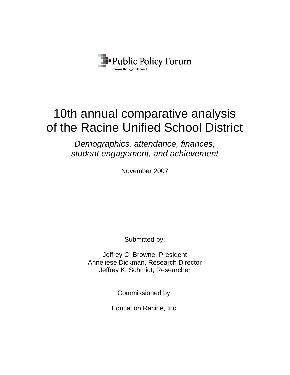

# 10th annual comparative analysis of the Racine Unified School District

*Demographics, attendance, finances, student engagement, and achievement* 

November 2007

Submitted by:

Jeffrey C. Browne, President Anneliese Dickman, Research Director Jeffrey K. Schmidt, Researcher

Commissioned by:

Education Racine, Inc.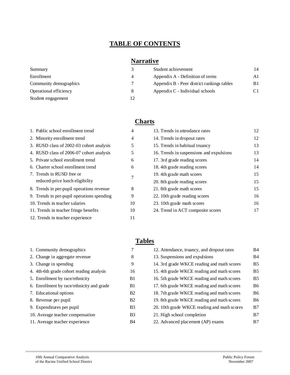# **TABLE OF CONTENTS**

# **Narrative**

| Summary                | 3 | Student achievement                        | 14         |
|------------------------|---|--------------------------------------------|------------|
| Enrollment             | 4 | Appendix A - Definition of terms           | A1         |
| Community demographics |   | Appendix B - Peer district rankings tables | <b>B</b> 1 |
| Operational efficiency | 8 | Appendix C - Individual schools            |            |
| Student engagement     |   |                                            |            |

#### **Charts**

| 1. Public school enrollment trend          | 4  |
|--------------------------------------------|----|
| 2. Minority enrollment trend               | 4  |
| 3. RUSD class of 2002-03 cohort analysis   | 5  |
| 4. RUSD class of 2006-07 cohort analysis   | 5. |
| 5. Private school enrollment trend         | 6  |
| 6. Charter school enrollment trend         | 6  |
| 7. Trends in RUSD free or                  | 7  |
| reduced-price lunch eligibility            |    |
| 8. Trends in per-pupil operations revenue  | 8  |
| 9. Trends in per-pupil operations spending | 9  |
| 10. Trends in teacher salaries             | 10 |
| 11. Trends in teacher fringe benefits      | 10 |
| 12. Trends in teacher experience           | 11 |
|                                            |    |

# 1. Community demographics 7 2. Change in aggregate revenue 8 3. Change in spending 9 4. 4th-6th grade cohort reading analysis 16 5. Enrollment by race/ethnicity B1 6. Enrollment by race/ethnicity and grade B1 7. Educational options B2 8. Revenue per pupil B2 9. Expenditures per pupil B3 10. Average teacher compensation B3 11. Average teacher experience B4

| 1. Public school enrollment trend          | 4  | 13. Trends in attendance rates           | 12 |
|--------------------------------------------|----|------------------------------------------|----|
| 2. Minority enrollment trend               | 4  | 14. Trends in dropout rates              | 12 |
| 3. RUSD class of 2002-03 cohort analysis   | 5  | 15. Trends in habitual truancy           | 13 |
| 4. RUSD class of 2006-07 cohort analysis   | 5  | 16. Trends in suspensions and expulsions | 13 |
| 5. Private school enrollment trend         | 6  | 17. 3rd grade reading scores             | 14 |
| 6. Charter school enrollment trend         | 6  | 18. 4th grade reading scores             | 14 |
| 7. Trends in RUSD free or                  | 7  | 19. 4th grade math scores                | 15 |
| reduced-price lunch eligibility            |    | 20. 8th grade reading scores             | 15 |
| 8. Trends in per-pupil operations revenue  | 8  | 21. 8th grade math scores                | 15 |
| 9. Trends in per-pupil operations spending | 9  | 22. 10th grade reading scores            | 16 |
| 10. Trends in teacher salaries             | 10 | 23. 10th grade math scores               | 16 |
| 11. Trends in teacher fringe benefits      | 10 | 24. Trend in ACT composite scores        | 17 |
|                                            |    |                                          |    |

# **Tables**

| 12. Attendance, truancy, and dropout rates  | <b>B4</b>      |
|---------------------------------------------|----------------|
| 13. Suspensions and expulsions              | <b>B4</b>      |
| 14. 3rd grade WKCE reading and math scores  | B5             |
| 15. 4th grade WKCE reading and math scores  | <b>B5</b>      |
| 16. 5th grade WKCE reading and math scores  | B <sub>5</sub> |
| 17. 6th grade WKCE reading and math scores  | B6             |
| 18. 7th grade WKCE reading and math scores  | <b>B6</b>      |
| 19. 8th grade WKCE reading and math scores  | B6             |
| 20. 10th grade WKCE reading and math scores | B7             |
| 21. High school completion                  | B7             |
| 22. Advanced placement (AP) exams           | B7             |
|                                             |                |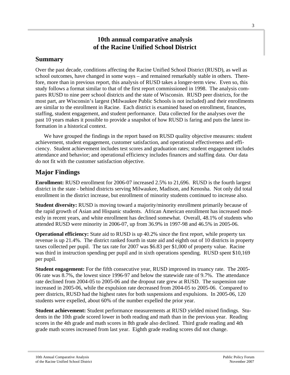# **10th annual comparative analysis of the Racine Unified School District**

# **Summary**

Over the past decade, conditions affecting the Racine Unified School District (RUSD), as well as school outcomes, have changed in some ways – and remained remarkably stable in others. Therefore, more than in previous report, this analysis of RUSD takes a longer-term view. Even so, this study follows a format similar to that of the first report commissioned in 1998. The analysis compares RUSD to nine peer school districts and the state of Wisconsin. RUSD peer districts, for the most part, are Wisconsin's largest (Milwaukee Public Schools is not included) and their enrollments are similar to the enrollment in Racine. Each district is examined based on enrollment, finances, staffing, student engagement, and student performance. Data collected for the analyses over the past 10 years makes it possible to provide a snapshot of how RUSD is faring and puts the latest information in a historical context.

We have grouped the findings in the report based on RUSD quality objective measures: student achievement, student engagement, customer satisfaction, and operational effectiveness and efficiency. Student achievement includes test scores and graduation rates; student engagement includes attendance and behavior; and operational efficiency includes finances and staffing data. Our data do not fit with the customer satisfaction objective.

# **Major Findings**

**Enrollment:** RUSD enrollment for 2006-07 increased 2.5% to 21,696. RUSD is the fourth largest district in the state - behind districts serving Milwaukee, Madison, and Kenosha. Not only did total enrollment in the district increase, but enrollment of minority students continued to increase also.

**Student diversity:** RUSD is moving toward a majority/minority enrollment primarily because of the rapid growth of Asian and Hispanic students. African American enrollment has increased modestly in recent years, and white enrollment has declined somewhat. Overall, 48.1% of students who attended RUSD were minority in 2006-07, up from 36.9% in 1997-98 and 46.5% in 2005-06.

**Operational efficiency:** State aid to RUSD is up 40.2% since the first report, while property tax revenue is up 21.4%. The district ranked fourth in state aid and eighth out of 10 districts in property taxes collected per pupil. The tax rate for 2007 was \$6.83 per \$1,000 of property value. Racine was third in instruction spending per pupil and in sixth operations spending. RUSD spent \$10,169 per pupil.

**Student engagement:** For the fifth consecutive year, RUSD improved its truancy rate. The 2005- 06 rate was 8.7%, the lowest since 1996-97 and below the statewide rate of 9.7%. The attendance rate declined from 2004-05 to 2005-06 and the dropout rate grew at RUSD.The suspension rate increased in 2005-06, while the expulsion rate decreased from 2004-05 to 2005-06. Compared to peer districts, RUSD had the highest rates for both suspensions and expulsions. In 2005-06, 120 students were expelled, about 60% of the number expelled the prior year.

**Student achievement:** Student performance measurements at RUSD yielded mixed findings. Students in the 10th grade scored lower in both reading and math than in the previous year. Reading scores in the 4th grade and math scores in 8th grade also declined. Third grade reading and 4th grade math scores increased from last year. Eighth grade reading scores did not change.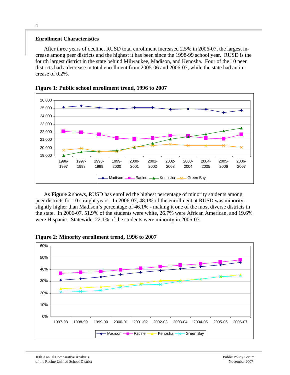#### **Enrollment Characteristics**

After three years of decline, RUSD total enrollment increased 2.5% in 2006-07, the largest increase among peer districts and the highest it has been since the 1998-99 school year. RUSD is the fourth largest district in the state behind Milwaukee, Madison, and Kenosha. Four of the 10 peer districts had a decrease in total enrollment from 2005-06 and 2006-07, while the state had an increase of 0.2%.





As **Figure 2** shows, RUSD has enrolled the highest percentage of minority students among peer districts for 10 straight years. In 2006-07, 48.1% of the enrollment at RUSD was minority slightly higher than Madison's percentage of 46.1% - making it one of the most diverse districts in the state. In 2006-07, 51.9% of the students were white, 26.7% were African American, and 19.6% were Hispanic. Statewide, 22.1% of the students were minority in 2006-07.



**Figure 2: Minority enrollment trend, 1996 to 2007**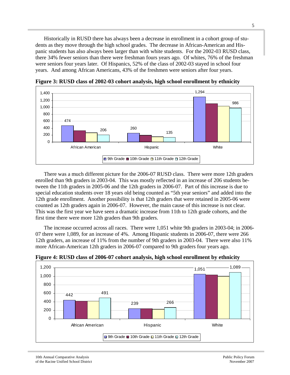Historically in RUSD there has always been a decrease in enrollment in a cohort group of students as they move through the high school grades. The decrease in African-American and Hispanic students has also always been larger than with white students. For the 2002-03 RUSD class, there 34% fewer seniors than there were freshman fours years ago. Of whites, 76% of the freshman were seniors four years later. Of Hispanics, 52% of the class of 2002-03 stayed in school four years. And among African Americans, 43% of the freshmen were seniors after four years.



**Figure 3: RUSD class of 2002-03 cohort analysis, high school enrollment by ethnicity** 

There was a much different picture for the 2006-07 RUSD class. There were more 12th graders enrolled than 9th graders in 2003-04. This was mostly reflected in an increase of 206 students between the 11th graders in 2005-06 and the 12th graders in 2006-07. Part of this increase is due to special education students over 18 years old being counted as "5th year seniors" and added into the 12th grade enrollment. Another possibility is that 12th graders that were retained in 2005-06 were counted as 12th graders again in 2006-07. However, the main cause of this increase is not clear. This was the first year we have seen a dramatic increase from 11th to 12th grade cohorts, and the first time there were more 12th graders than 9th graders.

The increase occurred across all races. There were 1,051 white 9th graders in 2003-04; in 2006- 07 there were 1,089, for an increase of 4%. Among Hispanic students in 2006-07, there were 266 12th graders, an increase of 11% from the number of 9th graders in 2003-04. There were also 11% more African-American 12th graders in 2006-07 compared to 9th graders four years ago.



**Figure 4: RUSD class of 2006-07 cohort analysis, high school enrollment by ethnicity**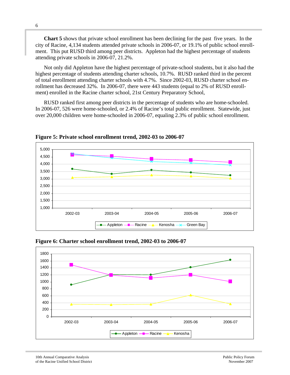**Chart 5** shows that private school enrollment has been declining for the past five years. In the city of Racine, 4,134 students attended private schools in 2006-07, or 19.1% of public school enrollment. This put RUSD third among peer districts. Appleton had the highest percentage of students attending private schools in 2006-07, 21.2%.

Not only did Appleton have the highest percentage of private-school students, but it also had the highest percentage of students attending charter schools, 10.7%. RUSD ranked third in the percent of total enrollment attending charter schools with 4.7%. Since 2002-03, RUSD charter school enrollment has decreased 32%. In 2006-07, there were 443 students (equal to 2% of RUSD enrollment) enrolled in the Racine charter school, 21st Century Preparatory School,

RUSD ranked first among peer districts in the percentage of students who are home-schooled. In 2006-07, 526 were home-schooled, or 2.4% of Racine's total public enrollment. Statewide, just over 20,000 children were home-schooled in 2006-07, equaling 2.3% of public school enrollment.



**Figure 5: Private school enrollment trend, 2002-03 to 2006-07** 



**Figure 6: Charter school enrollment trend, 2002-03 to 2006-07**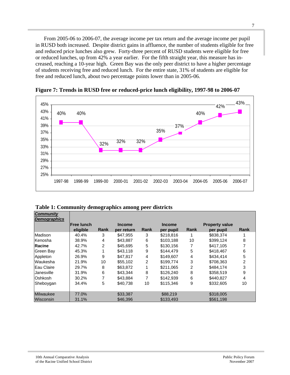From 2005-06 to 2006-07, the average income per tax return and the average income per pupil in RUSD both increased. Despite district gains in affluence, the number of students eligible for free and reduced price lunches also grew. Forty-three percent of RUSD students were eligible for free or reduced lunches, up from 42% a year earlier. For the fifth straight year, this measure has increased, reaching a 10-year high. Green Bay was the only peer district to have a higher percentage of students receiving free and reduced lunch. For the entire state, 31% of students are eligible for free and reduced lunch, about two percentage points lower than in 2005-06.



**Figure 7: Trends in RUSD free or reduced-price lunch eligibility, 1997-98 to 2006-07** 

|                    | Table 1: Community demographics among peer districts |
|--------------------|------------------------------------------------------|
| C <sub>ommin</sub> |                                                      |

| <b>Lommunity</b><br><b>Demographics</b> |                    |      |               |      |               |                |                       |      |
|-----------------------------------------|--------------------|------|---------------|------|---------------|----------------|-----------------------|------|
|                                         | <b>IFree lunch</b> |      | <b>Income</b> |      | <b>Income</b> |                | <b>Property value</b> |      |
|                                         | eligible           | Rank | per return    | Rank | per pupil     | Rank           | per pupil             | Rank |
| Madison                                 | 40.4%              | 3    | \$47.955      | 3    | \$218,816     |                | \$838,374             |      |
| Kenosha                                 | 38.9%              | 4    | \$43.887      | 6    | \$103,188     | 10             | \$399,124             | 8    |
| Racine                                  | 42.7%              | 2    | \$45.695      | 5    | \$130.156     | 7              | \$417.105             |      |
| Green Bay                               | 45.3%              |      | \$43,118      | 9    | \$144.479     | 5              | \$418,467             | 6    |
| Appleton                                | 26.9%              | 9    | \$47.817      | 4    | \$149,607     | 4              | \$434.414             | 5    |
| Waukesha                                | 21.9%              | 10   | \$55,102      | 2    | \$199,774     | 3              | \$708,363             | 2    |
| Eau Claire                              | 29.7%              | 8    | \$63,872      |      | \$211.065     | $\overline{2}$ | \$484,174             | 3    |
| Janesville                              | 31.9%              | 6    | \$43.344      | 8    | \$126,240     | 8              | \$358,519             | 9    |
| Oshkosh                                 | 30.2%              | 7    | \$43,884      | 7    | \$142,939     | 6              | \$440,827             | 4    |
| Sheboygan                               | 34.4%              | 5    | \$40.738      | 10   | \$115.346     | 9              | \$332,605             | 10   |
|                                         |                    |      |               |      |               |                |                       |      |
| <b>Milwaukee</b>                        | 77.0%              |      | \$33,387      |      | \$88,219      |                | \$318,005             |      |
| Wisconsin                               | 31.1%              |      | \$46,396      |      | \$133,493     |                | \$561,198             |      |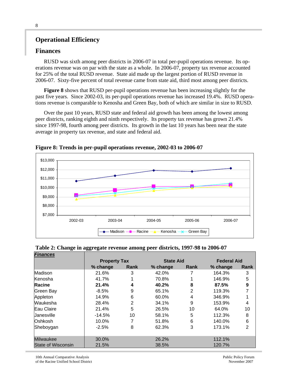# **Operational Efficiency**

### **Finances**

RUSD was sixth among peer districts in 2006-07 in total per-pupil operations revenue. Its operations revenue was on par with the state as a whole. In 2006-07, property tax revenue accounted for 25% of the total RUSD revenue. State aid made up the largest portion of RUSD revenue in 2006-07. Sixty-five percent of total revenue came from state aid, third most among peer districts.

**Figure 8** shows that RUSD per-pupil operations revenue has been increasing slightly for the past five years. Since 2002-03, its per-pupil operations revenue has increased 19.4%. RUSD operations revenue is comparable to Kenosha and Green Bay, both of which are similar in size to RUSD.

Over the past 10 years, RUSD state and federal aid growth has been among the lowest among peer districts, ranking eighth and ninth respectively. Its property tax revenue has grown 21.4% since 1997-98, fourth among peer districts. Its growth in the last 10 years has been near the state average in property tax revenue, and state and federal aid.



**Figure 8: Trends in per-pupil operations revenue, 2002-03 to 2006-07** 

|  | Table 2: Change in aggregate revenue among peer districts, 1997-98 to 2006-07 |  |
|--|-------------------------------------------------------------------------------|--|
|  |                                                                               |  |

| <b>Finances</b>           |                     |             |                  |             |                    |                  |  |
|---------------------------|---------------------|-------------|------------------|-------------|--------------------|------------------|--|
|                           | <b>Property Tax</b> |             | <b>State Aid</b> |             | <b>Federal Aid</b> |                  |  |
|                           | % change            | <b>Rank</b> | % change         | <b>Rank</b> | % change           | Rank             |  |
| Madison                   | 21.6%               | 3           | 42.0%            |             | 164.3%             | 3                |  |
| Kenosha                   | 41.7%               |             | 70.8%            |             | 146.9%             | 5                |  |
| <b>Racine</b>             | 21.4%               | 4           | 40.2%            | 8           | 87.5%              | $\boldsymbol{9}$ |  |
| Green Bay                 | $-8.5%$             | 9           | 65.1%            | 2           | 119.3%             | 7                |  |
| Appleton                  | 14.9%               | 6           | 60.0%            | 4           | 346.9%             |                  |  |
| Waukesha                  | 28.4%               | 2           | 34.1%            | 9           | 153.9%             | 4                |  |
| Eau Claire                | 21.4%               | 5           | 26.5%            | 10          | 64.0%              | 10               |  |
| Uanesville                | $-14.5%$            | 10          | 58.1%            | 5           | 112.3%             | 8                |  |
| Oshkosh                   | 10.0%               |             | 51.8%            | 6           | 140.0%             | 6                |  |
| Sheboygan                 | $-2.5%$             | 8           | 62.3%            | 3           | 173.1%             | $\overline{2}$   |  |
| Milwaukee                 | 30.0%               |             | 26.2%            |             | 112.1%             |                  |  |
| <b>State of Wisconsin</b> | 21.5%               |             | 38.5%            |             | 120.7%             |                  |  |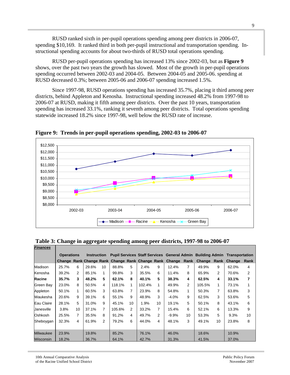RUSD ranked sixth in per-pupil operations spending among peer districts in 2006-07, spending \$10,169. It ranked third in both per-pupil instructional and transportation spending. Instructional spending accounts for about two-thirds of RUSD total operations spending.

RUSD per-pupil operations spending has increased 13% since 2002-03, but as **Figure 9** shows, over the past two years the growth has slowed. Most of the growth in per-pupil operations spending occurred between 2002-03 and 2004-05. Between 2004-05 and 2005-06. spending at RUSD decreased 0.3%; between 2005-06 and 2006-07 spending increased 1.5%.

Since 1997-98, RUSD operations spending has increased 35.7%, placing it third among peer districts, behind Appleton and Kenosha. Instructional spending increased 48.2% from 1997-98 to 2006-07 at RUSD, making it fifth among peer districts. Over the past 10 years, transportation spending has increased 33.1%, ranking it seventh among peer districts. Total operations spending statewide increased 18.2% since 1997-98, well below the RUSD rate of increase.



**Figure 9: Trends in per-pupil operations spending, 2002-03 to 2006-07** 

| <b>Finances</b>  |                   |                |                    |                |        |                |        |                  |                                                        |      |                                                                                  |                |        |      |  |
|------------------|-------------------|----------------|--------------------|----------------|--------|----------------|--------|------------------|--------------------------------------------------------|------|----------------------------------------------------------------------------------|----------------|--------|------|--|
|                  | <b>Operations</b> |                | <b>Instruction</b> |                |        |                |        |                  |                                                        |      | <b>Pupil Services Staff Services General Admin Building Admin Transportation</b> |                |        |      |  |
|                  |                   |                |                    |                |        |                |        |                  | Change Rank Change Rank Change Rank Change Rank Change | Rank | Change Rank                                                                      |                | Change | Rank |  |
| Madison          | 25.7%             | 6              | 29.6%              | 10             | 88.8%  | 5              | 2.4%   | 9                | 12.4%                                                  | 7    | 49.9%                                                                            | 9              | 62.0%  | 4    |  |
| Kenosha          | 39.2%             | 2              | 85.1%              | 1              | 99.8%  | 3              | 35.5%  | 6                | 11.4%                                                  | 8    | 65.9%                                                                            | $\overline{2}$ | 70.6%  | 2    |  |
| Racine           | 35.7%             | 3              | 48.2%              | 5              | 62.1%  | 8              | 40.1%  | 5                | 38.3%                                                  | 4    | 62.5%                                                                            | 4              | 33.1%  | 7    |  |
| Green Bay        | 23.0%             | 8              | 50.5%              | 4              | 118.1% | 1.             | 102.4% | 1                | 49.9%                                                  | 2    | 105.5%                                                                           | 1              | 73.1%  |      |  |
| Appleton         | 50.1%             | 1              | 60.5%              | 3              | 63.8%  | $\overline{7}$ | 23.9%  | 8                | 54.8%                                                  | 1    | 50.3%                                                                            | 7              | 63.8%  | 3    |  |
| Waukesha         | 20.6%             | 9              | 39.1%              | 6              | 55.1%  | 9              | 48.9%  | 3                | $-4.0%$                                                | 9    | 62.5%                                                                            | 3              | 53.6%  | 5    |  |
| Eau Claire       | 28.1%             | 5              | 31.0%              | 9              | 45.1%  | 10             | 1.9%   | 10 <sup>10</sup> | 19.1%                                                  | 5    | 50.1%                                                                            | 8              | 43.1%  | 6    |  |
| Janesville       | 3.8%              | 10             | 37.1%              | $\overline{7}$ | 105.6% | $\mathcal{P}$  | 33.2%  | 7                | 15.4%                                                  | 6    | 52.1%                                                                            | 6              | 13.3%  | 9    |  |
| Oshkosh          | 25.5%             | $\overline{7}$ | 35.5%              | 8              | 91.2%  | 4              | 49.7%  | 2                | $-9.9%$                                                | 10   | 53.3%                                                                            | 5              | 9.3%   | 10   |  |
| Sheboygan        | 32.3%             | 4              | 61.9%              | 2              | 79.2%  | 6              | 44.0%  | 4                | 48.1%                                                  | 3    | 49.1%                                                                            | 10             | 23.8%  | 8    |  |
|                  |                   |                |                    |                |        |                |        |                  |                                                        |      |                                                                                  |                |        |      |  |
| <b>Milwaukee</b> | 23.9%             |                | 19.8%              |                | 85.2%  |                | 76.1%  |                  | 46.0%                                                  |      | 18.6%                                                                            |                | 10.9%  |      |  |
| Wisconsin        | 18.2%             |                | 36.7%              |                | 64.1%  |                | 42.7%  |                  | 31.3%                                                  |      | 41.5%                                                                            |                | 37.0%  |      |  |

**Table 3: Change in aggregate spending among peer districts, 1997-98 to 2006-07**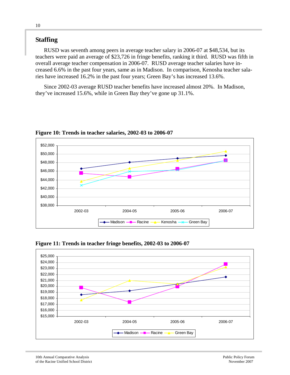# **Staffing**

RUSD was seventh among peers in average teacher salary in 2006-07 at \$48,534, but its teachers were paid an average of \$23,726 in fringe benefits, ranking it third. RUSD was fifth in overall average teacher compensation in 2006-07. RUSD average teacher salaries have increased 6.6% in the past four years, same as in Madison. In comparison, Kenosha teacher salaries have increased 16.2% in the past four years; Green Bay's has increased 13.6%.

Since 2002-03 average RUSD teacher benefits have increased almost 20%. In Madison, they've increased 15.6%, while in Green Bay they've gone up 31.1%.



**Figure 10: Trends in teacher salaries, 2002-03 to 2006-07** 



**Figure 11: Trends in teacher fringe benefits, 2002-03 to 2006-07**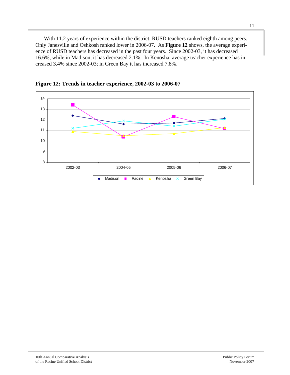With 11.2 years of experience within the district, RUSD teachers ranked eighth among peers. Only Janesville and Oshkosh ranked lower in 2006-07. As **Figure 12** shows, the average experience of RUSD teachers has decreased in the past four years. Since 2002-03, it has decreased 16.6%, while in Madison, it has decreased 2.1%. In Kenosha, average teacher experience has increased 3.4% since 2002-03; in Green Bay it has increased 7.8%.



**Figure 12: Trends in teacher experience, 2002-03 to 2006-07**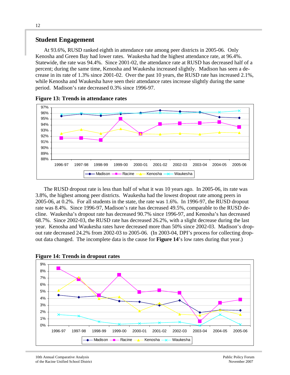#### **Student Engagement**

At 93.6%, RUSD ranked eighth in attendance rate among peer districts in 2005-06. Only Kenosha and Green Bay had lower rates. Waukesha had the highest attendance rate, at 96.4%. Statewide, the rate was 94.4%. Since 2001-02, the attendance rate at RUSD has decreased half of a percent; during the same time, Kenosha and Waukesha increased slightly. Madison has seen a decrease in its rate of 1.3% since 2001-02. Over the past 10 years, the RUSD rate has increased 2.1%, while Kenosha and Waukesha have seen their attendance rates increase slightly during the same period. Madison's rate decreased 0.3% since 1996-97.





The RUSD dropout rate is less than half of what it was 10 years ago. In 2005-06, its rate was 3.8%, the highest among peer districts. Waukesha had the lowest dropout rate among peers in 2005-06, at 0.2%. For all students in the state, the rate was 1.6%. In 1996-97, the RUSD dropout rate was 8.4%. Since 1996-97, Madison's rate has decreased 49.5%, comparable to the RUSD decline. Waukesha's dropout rate has decreased 90.7% since 1996-97, and Kenosha's has decreased 68.7%. Since 2002-03, the RUSD rate has decreased 26.2%, with a slight decrease during the last year. Kenosha and Waukesha rates have decreased more than 50% since 2002-03. Madison's dropout rate decreased 24.2% from 2002-03 to 2005-06. (In 2003-04, DPI's process for collecting dropout data changed. The incomplete data is the cause for **Figure 14**'s low rates during that year.)



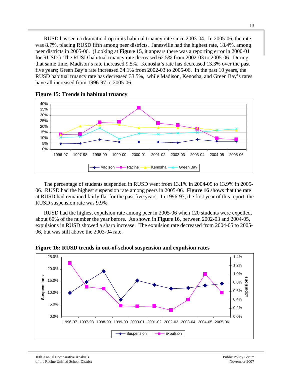RUSD has seen a dramatic drop in its habitual truancy rate since 2003-04. In 2005-06, the rate was 8.7%, placing RUSD fifth among peer districts. Janesville had the highest rate, 18.4%, among peer districts in 2005-06. (Looking at **Figure 15**, it appears there was a reporting error in 2000-01 for RUSD.) The RUSD habitual truancy rate decreased 62.5% from 2002-03 to 2005-06. During that same time, Madison's rate increased 9.5%. Kenosha's rate has decreased 13.3% over the past five years; Green Bay's rate increased 34.1% from 2002-03 to 2005-06. In the past 10 years, the RUSD habitual truancy rate has decreased 33.5%, while Madison, Kenosha, and Green Bay's rates have all increased from 1996-97 to 2005-06.





The percentage of students suspended in RUSD went from 13.1% in 2004-05 to 13.9% in 2005- 06. RUSD had the highest suspension rate among peers in 2005-06. **Figure 16** shows that the rate at RUSD had remained fairly flat for the past five years. In 1996-97, the first year of this report, the RUSD suspension rate was 9.9%.

RUSD had the highest expulsion rate among peer in 2005-06 when 120 students were expelled, about 60% of the number the year before. As shown in **Figure 16**, between 2002-03 and 2004-05, expulsions in RUSD showed a sharp increase. The expulsion rate decreased from 2004-05 to 2005- 06, but was still above the 2003-04 rate.



**Figure 16: RUSD trends in out-of-school suspension and expulsion rates**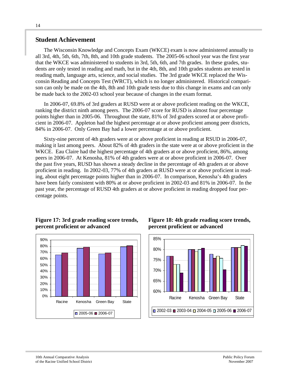#### **Student Achievement**

The Wisconsin Knowledge and Concepts Exam (WKCE) exam is now administered annually to all 3rd, 4th, 5th, 6th, 7th, 8th, and 10th grade students. The 2005-06 school year was the first year that the WKCE was administered to students in 3rd, 5th, 6th, and 7th grades. In these grades, students are only tested in reading and math, but in the 4th, 8th, and 10th grades students are tested in reading math, language arts, science, and social studies. The 3rd grade WKCE replaced the Wisconsin Reading and Concepts Test (WRCT), which is no longer administered. Historical comparison can only be made on the 4th, 8th and 10th grade tests due to this change in exams and can only be made back to the 2002-03 school year because of changes in the exam format.

In 2006-07, 69.8% of 3rd graders at RUSD were at or above proficient reading on the WKCE, ranking the district ninth among peers. The 2006-07 score for RUSD is almost four percentage points higher than in 2005-06. Throughout the state, 81% of 3rd graders scored at or above proficient in 2006-07. Appleton had the highest percentage at or above proficient among peer districts, 84% in 2006-07. Only Green Bay had a lower percentage at or above proficient.

Sixty-nine percent of 4th graders were at or above proficient in reading at RSUD in 2006-07, making it last among peers. About 82% of 4th graders in the state were at or above proficient in the WKCE. Eau Claire had the highest percentage of 4th graders at or above proficient, 86%, among peers in 2006-07. At Kenosha, 81% of 4th graders were at or above proficient in 2006-07. Over the past five years, RUSD has shown a steady decline in the percentage of 4th graders at or above proficient in reading. In 2002-03, 77% of 4th graders at RUSD were at or above proficient in reading, about eight percentage points higher than in 2006-07. In comparison, Kenosha's 4th graders have been fairly consistent with 80% at or above proficient in 2002-03 and 81% in 2006-07. In the past year, the percentage of RUSD 4th graders at or above proficient in reading dropped four percentage points.

#### **Figure 17: 3rd grade reading score trends, percent proficient or advanced**



**Figure 18: 4th grade reading score trends, percent proficient or advanced** 

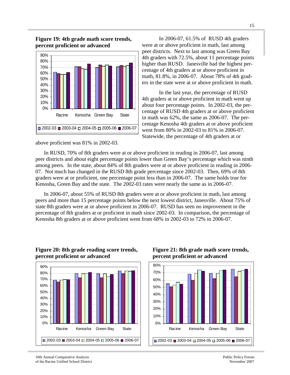

**Figure 19: 4th grade math score trends, percent proficient or advanced** 

above proficient was 81% in 2002-03.

 In 2006-07, 61.5% of RUSD 4th graders were at or above proficient in math, last among peer districts. Next to last among was Green Bay 4th graders with 72.5%, about 11 percentage points higher than RUSD. Janesville had the highest percentage of 4th graders at or above proficient in math, 81.8%, in 2006-07. About 78% of 4th graders in the state were at or above proficient in math.

 In the last year, the percentage of RUSD 4th graders at or above proficient in math went up about four percentage points. In 2002-03, the percentage of RUSD 4th graders at or above proficient in math was 62%, the same as 2006-07. The percentage Kenosha 4th graders at or above proficient went from 80% in 2002-03 to 81% in 2006-07. Statewide, the percentage of 4th graders at or

In RUSD, 70% of 8th graders were at or above proficient in reading in 2006-07, last among peer districts and about eight percentage points lower than Green Bay's percentage which was ninth among peers. In the state, about 84% of 8th graders were at or above proficient in reading in 2006- 07. Not much has changed in the RUSD 8th grade percentage since 2002-03. Then, 69% of 8th graders were at or proficient, one percentage point less than in 2006-07. The same holds true for Kenosha, Green Bay and the state. The 2002-03 rates were nearly the same as in 2006-07.

In 2006-07, about 55% of RUSD 8th graders were at or above proficient in math, last among peers and more than 15 percentage points below the next lowest district, Janesville. About 75% of state 8th graders were at or above proficient in 2006-07. RUSD has seen no improvement in the percentage of 8th graders at or proficient in math since 2002-03. In comparison, the percentage of Kenosha 8th graders at or above proficient went from 68% in 2002-03 to 72% in 2006-07.



#### **Figure 20: 8th grade reading score trends, percent proficient or advanced**

#### **Figure 21: 8th grade math score trends, percent proficient or advanced**

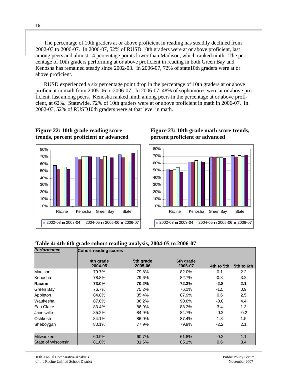The percentage of 10th graders at or above proficient in reading has steadily declined from 2002-03 to 2006-07. In 2006-07, 52% of RUSD 10th graders were at or above proficient, last among peers and almost 14 percentage points lower than Madison, which ranked ninth. The percentage of 10th graders performing at or above proficient in reading in both Green Bay and Kenosha has remained steady since 2002-03. In 2006-07, 72% of state10th graders were at or above proficient.

RUSD experienced a six percentage point drop in the percentage of 10th graders at or above proficient in math from 2005-06 to 2006-07. In 2006-07, 48% of sophomores were at or above proficient, last among peers. Kenosha ranked ninth among peers in the percentage at or above proficient, at 62%. Statewide, 72% of 10th graders were at or above proficient in math in 2006-07. In 2002-03, 52% of RUSD10th graders were at that level in math.



#### **Figure 22: 10th grade reading score trends, percent proficient or advanced Figure 23: 10th grade math score trends, percent proficient or advanced**



#### **Table 4: 4th-6th grade cohort reading analysis, 2004-05 to 2006-07**

| <b>Performance</b>        |                      | <b>Cohort reading scores</b> |                      |            |            |  |  |  |  |  |
|---------------------------|----------------------|------------------------------|----------------------|------------|------------|--|--|--|--|--|
|                           | 4th grade<br>2004-05 | 5th grade<br>2005-06         | 6th grade<br>2006-07 | 4th to 5th | 5th to 6th |  |  |  |  |  |
| Madison                   | 79.7%                | 79.8%                        | 82.0%                | 0.1        | 2.2        |  |  |  |  |  |
| Kenosha                   | 78.8%                | 79.6%                        | 82.7%                | 0.8        | 3.2        |  |  |  |  |  |
| Racine                    | 73.0%                | 70.2%                        | 72.3%                | $-2.8$     | 2.1        |  |  |  |  |  |
| Green Bay                 | 76.7%                | 75.2%                        | 76.1%                | $-1.5$     | 0.9        |  |  |  |  |  |
| Appleton                  | 84.8%                | 85.4%                        | 87.9%                | 0.6        | 2.5        |  |  |  |  |  |
| Waukesha                  | 87.0%                | 86.2%                        | 90.6%                | $-0.8$     | 4.4        |  |  |  |  |  |
| Eau Claire                | 83.4%                | 86.9%                        | 88.2%                | 3.4        | 1.3        |  |  |  |  |  |
| Uanesville                | 85.2%                | 84.9%                        | 84.7%                | $-0.2$     | $-0.2$     |  |  |  |  |  |
| Oshkosh                   | 84.1%                | 86.0%                        | 87.4%                | 1.8        | 1.5        |  |  |  |  |  |
| Sheboygan                 | 80.1%                | 77.9%                        | 79.9%                | $-2.2$     | 2.1        |  |  |  |  |  |
| Milwaukee                 | 60.9%                | 60.7%                        | 61.8%                | $-0.2$     | 1.1        |  |  |  |  |  |
| <b>State of Wisconsin</b> | 81.0%                | 81.6%                        | 85.1%                | 0.6        | 3.4        |  |  |  |  |  |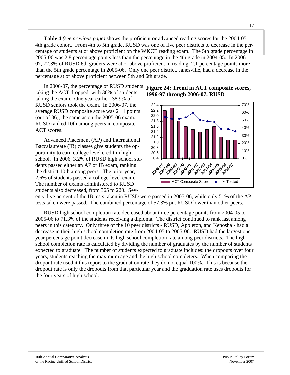**Table 4** *(see previous page)* shows the proficient or advanced reading scores for the 2004-05 4th grade cohort. From 4th to 5th grade, RUSD was one of five peer districts to decrease in the percentage of students at or above proficient on the WKCE reading exam. The 5th grade percentage in 2005-06 was 2.8 percentage points less than the percentage in the 4th grade in 2004-05. In 2006- 07, 72.3% of RUSD 6th graders were at or above proficient in reading, 2.1 percentage points more than the 5th grade percentage in 2005-06. Only one peer district, Janesville, had a decrease in the percentage at or above proficient between 5th and 6th grade.

In 2006-07, the percentage of RUSD students Figure 24: Trend in ACT composite scores, taking the ACT dropped, with 36% of students taking the exam. One year earlier, 38.9% of RUSD seniors took the exam. In 2006-07, the average RUSD composite score was 21.1 points (out of 36), the same as on the 2005-06 exam. RUSD ranked 10th among peers in composite ACT scores.

Advanced Placement (AP) and International Baccalaureate (IB) classes give students the opportunity to earn college level credit in high school. In 2006, 3.2% of RUSD high school students passed either an AP or IB exam, ranking the district 10th among peers. The prior year, 2.6% of students passed a college-level exam. The number of exams administered to RUSD students also decreased, from 365 to 220. Sev-

# **1996-97 through 2006-07, RUSD**



enty-five percent of the IB tests taken in RUSD were passed in 2005-06, while only 51% of the AP tests taken were passed. The combined percentage of 57.3% put RUSD lower than other peers.

RUSD high school completion rate decreased about three percentage points from 2004-05 to 2005-06 to 71.3% of the students receiving a diploma. The district continued to rank last among peers in this category. Only three of the 10 peer districts - RUSD, Appleton, and Kenosha - had a decrease in their high school completion rate from 2004-05 to 2005-06. RUSD had the largest oneyear percentage point decrease in its high school completion rate among peer districts. The high school completion rate is calculated by dividing the number of graduates by the number of students expected to graduate. The number of students expected to graduate includes: the dropouts over four years, students reaching the maximum age and the high school completers. When comparing the dropout rate used it this report to the graduation rate they do not equal 100%. This is because the dropout rate is only the dropouts from that particular year and the graduation rate uses dropouts for the four years of high school.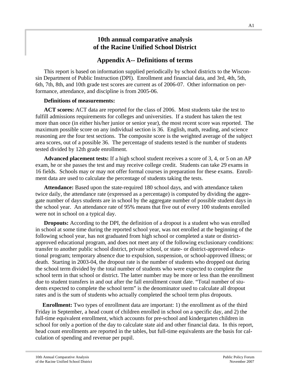# **10th annual comparative analysis of the Racine Unified School District**

# **Appendix A-- Definitions of terms**

This report is based on information supplied periodically by school districts to the Wisconsin Department of Public Instruction (DPI). Enrollment and financial data, and 3rd, 4th, 5th, 6th, 7th, 8th, and 10th grade test scores are current as of 2006-07. Other information on performance, attendance, and discipline is from 2005-06.

#### **Definitions of measurements:**

**ACT scores:** ACT data are reported for the class of 2006. Most students take the test to fulfill admissions requirements for colleges and universities. If a student has taken the test more than once (in either his/her junior or senior year), the most recent score was reported. The maximum possible score on any individual section is 36. English, math, reading, and science reasoning are the four test sections. The composite score is the weighted average of the subject area scores, out of a possible 36. The percentage of students tested is the number of students tested divided by 12th grade enrollment.

**Advanced placement tests:** If a high school student receives a score of 3, 4, or 5 on an AP exam, he or she passes the test and may receive college credit. Students can take 29 exams in 16 fields. Schools may or may not offer formal courses in preparation for these exams. Enrollment data are used to calculate the percentage of students taking the tests.

**Attendance:** Based upon the state-required 180 school days, and with attendance taken twice daily, the attendance rate (expressed as a percentage) is computed by dividing the aggregate number of days students are in school by the aggregate number of possible student days in the school year. An attendance rate of 95% means that five out of every 100 students enrolled were not in school on a typical day.

**Dropouts:** According to the DPI, the definition of a dropout is a student who was enrolled in school at some time during the reported school year, was not enrolled at the beginning of the following school year, has not graduated from high school or completed a state or districtapproved educational program, and does not meet any of the following exclusionary conditions: transfer to another public school district, private school, or state- or district-approved educational program; temporary absence due to expulsion, suspension, or school-approved illness; or death. Starting in 2003-04, the dropout rate is the number of students who dropped out during the school term divided by the total number of students who were expected to complete the school term in that school or district. The latter number may be more or less than the enrollment due to student transfers in and out after the fall enrollment count date. "Total number of students expected to complete the school term" is the denominator used to calculate all dropout rates and is the sum of students who actually completed the school term plus dropouts.

 **Enrollment:** Two types of enrollment data are important: 1) the enrollment as of the third Friday in September, a head count of children enrolled in school on a specific day, and 2) the full-time equivalent enrollment, which accounts for pre-school and kindergarten children in school for only a portion of the day to calculate state aid and other financial data. In this report, head count enrollments are reported in the tables, but full-time equivalents are the basis for calculation of spending and revenue per pupil.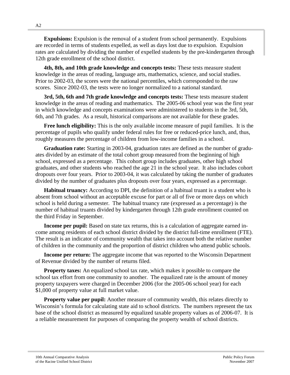**Expulsions:** Expulsion is the removal of a student from school permanently. Expulsions are recorded in terms of students expelled, as well as days lost due to expulsion. Expulsion rates are calculated by dividing the number of expelled students by the pre-kindergarten through 12th grade enrollment of the school district.

**4th, 8th, and 10th grade knowledge and concepts tests:** These tests measure student knowledge in the areas of reading, language arts, mathematics, science, and social studies. Prior to 2002-03, the scores were the national percentiles, which corresponded to the raw scores. Since 2002-03, the tests were no longer normalized to a national standard.

**3rd, 5th, 6th and 7th grade knowledge and concepts tests:** These tests measure student knowledge in the areas of reading and mathematics. The 2005-06 school year was the first year in which knowledge and concepts examinations were administered to students in the 3rd, 5th, 6th, and 7th grades. As a result, historical comparisons are not available for these grades.

**Free lunch eligibility:** This is the only available income measure of pupil families. It is the percentage of pupils who qualify under federal rules for free or reduced-price lunch, and, thus, roughly measures the percentage of children from low-income families in a school.

**Graduation rate:** Starting in 2003-04, graduation rates are defined as the number of graduates divided by an estimate of the total cohort group measured from the beginning of high school, expressed as a percentage. This cohort group includes graduates, other high school graduates, and other students who reached the age 21 in the school year. It also includes cohort dropouts over four years. Prior to 2003-04, it was calculated by taking the number of graduates divided by the number of graduates plus dropouts over four years, expressed as a percentage.

**Habitual truancy:** According to DPI, the definition of a habitual truant is a student who is absent from school without an acceptable excuse for part or all of five or more days on which school is held during a semester. The habitual truancy rate (expressed as a percentage) is the number of habitual truants divided by kindergarten through 12th grade enrollment counted on the third Friday in September.

**Income per pupil:** Based on state tax returns, this is a calculation of aggregate earned income among residents of each school district divided by the district full-time enrollment (FTE). The result is an indicator of community wealth that takes into account both the relative number of children in the community and the proportion of district children who attend public schools.

**Income per return:** The aggregate income that was reported to the Wisconsin Department of Revenue divided by the number of returns filed.

**Property taxes:** An equalized school tax rate, which makes it possible to compare the school tax effort from one community to another. The equalized rate is the amount of money property taxpayers were charged in December 2006 (for the 2005-06 school year) for each \$1,000 of property value at full market value.

**Property value per pupil:** Another measure of community wealth, this relates directly to Wisconsin's formula for calculating state aid to school districts. The numbers represent the tax base of the school district as measured by equalized taxable property values as of 2006-07. It is a reliable measurement for purposes of comparing the property wealth of school districts.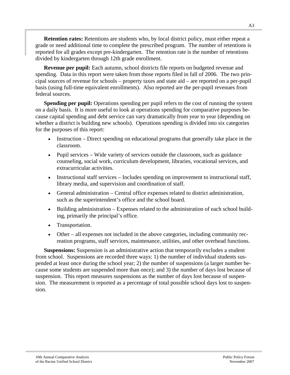**Retention rates:** Retentions are students who, by local district policy, must either repeat a grade or need additional time to complete the prescribed program. The number of retentions is reported for all grades except pre-kindergarten. The retention rate is the number of retentions divided by kindergarten through 12th grade enrollment.

**Revenue per pupil:** Each autumn, school districts file reports on budgeted revenue and spending. Data in this report were taken from those reports filed in fall of 2006. The two principal sources of revenue for schools – property taxes and state aid – are reported on a per-pupil basis (using full-time equivalent enrollments). Also reported are the per-pupil revenues from federal sources.

**Spending per pupil:** Operations spending per pupil refers to the cost of running the system on a daily basis. It is more useful to look at operations spending for comparative purposes because capital spending and debt service can vary dramatically from year to year (depending on whether a district is building new schools). Operations spending is divided into six categories for the purposes of this report:

- Instruction Direct spending on educational programs that generally take place in the classroom.
- Pupil services Wide variety of services outside the classroom, such as guidance counseling, social work, curriculum development, libraries, vocational services, and extracurricular activities.
- Instructional staff services Includes spending on improvement to instructional staff, library media, and supervision and coordination of staff.
- General administration Central office expenses related to district administration, such as the superintendent's office and the school board.
- Building administration Expenses related to the administration of each school building, primarily the principal's office.
- Transportation.
- Other all expenses not included in the above categories, including community recreation programs, staff services, maintenance, utilities, and other overhead functions.

**Suspensions:** Suspension is an administrative action that temporarily excludes a student from school. Suspensions are recorded three ways: 1) the number of individual students suspended at least once during the school year; 2) the number of suspensions (a larger number because some students are suspended more than once); and 3) the number of days lost because of suspension. This report measures suspensions as the number of days lost because of suspension. The measurement is reported as a percentage of total possible school days lost to suspension.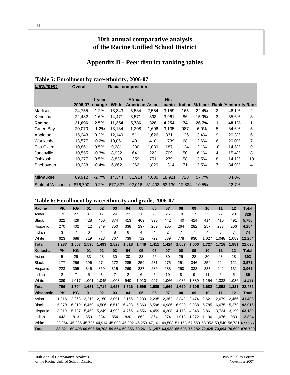# **10th annual comparative analysis of the Racine Unified School District**

# **Appendix B - Peer district ranking tables**

| <b>Enrollment</b>         | <b>Overall</b> |                  |              | <b>Racial composition</b>               |        |               |               |         |                |                              |    |
|---------------------------|----------------|------------------|--------------|-----------------------------------------|--------|---------------|---------------|---------|----------------|------------------------------|----|
|                           | 2006-07        | 1-year<br>change | <b>White</b> | <b>African</b><br><b>American Asian</b> |        | His-<br>panic | <b>Indian</b> |         |                | % black Rank % minority Rank |    |
| Madison                   | 24,755         | 1.2%             | 13,343       | 5,534                                   | 2,554  | 3,159         | 165           | 22.4%   | $\overline{2}$ | 46.1%                        | 2  |
| Kenosha                   | 22,482         | 1.6%             | 14,471       | 3,571                                   | 393    | 3,961         | 86            | 15.9%   | 3              | 35.6%                        | 3  |
| <b>Racine</b>             | 21,696         | 2.5%             | 11,254       | 5,786                                   | 328    | 4,254         | 74            | 26.7%   | 1              | 48.1%                        | 1  |
| <b>Green Bay</b>          | 20,070         | $-1.2%$          | 13,134       | 1,208                                   | 1,606  | 3,135         | 987           | $6.0\%$ | 5              | 34.6%                        | 5  |
| Appleton                  | 15,243         | 0.2%             | 12,149       | 511                                     | 1,626  | 831           | 126           | 3.4%    | 9              | 20.3%                        | 6  |
| Waukesha                  | 13,577         | $-0.2%$          | 10,861       | 491                                     | 418    | 1,739         | 68            | 3.6%    | 6              | 20.0%                        | 7  |
| lEau Claire               | 10,861         | 0.5%             | 9,281        | 230                                     | 1,039  | 187           | 124           | 2.1%    | 10             | 14.5%                        | 9  |
| Janesville                | 10,555         | $-0.3%$          | 8,932        | 641                                     | 223    | 709           | 50            | 6.1%    | 4              | 15.4%                        | 8  |
| Oshkosh                   | 10,277         | 0.5%             | 8,830        | 359                                     | 751    | 279           | 58            | 3.5%    | 8              | 14.1%                        | 10 |
| Sheboygan                 | 10,238         | $-0.4%$          | 6,662        | 362                                     | 1,829  | 1,314         | 71            | 3.5%    | 7              | 34.9%                        | 4  |
| <b>Milwaukee</b>          | 89,912         | $-2.7%$          | 14,344       | 51,914                                  | 4,005  | 18,921        | 728           | 57.7%   |                | 84.0%                        |    |
| <b>State of Wisconsin</b> | 876,700        | 0.2%             | 677,327      | 92,016                                  | 31,403 | 63,130        | 12,824        | 10.5%   |                | 22.7%                        |    |

#### **Table 6: Enrollment by race/ethnicity and grade, 2006-07**

| Racine       | <b>PK</b>      | KG             | 01    | 02    | 03             | 04    | 05    | 06    | 07    | 08             | 09    | 10    | 11    | 12    | <b>Total</b>                                                                                       |
|--------------|----------------|----------------|-------|-------|----------------|-------|-------|-------|-------|----------------|-------|-------|-------|-------|----------------------------------------------------------------------------------------------------|
| Asian        | 19             | 27             | 31    | 17    | 24             | 22    | 26    | 26    | 26    | 18             | 17    | 25    | 22    | 28    | 328                                                                                                |
| <b>Black</b> | 322            | 429            | 428   | 400   | 374            | 413   | 409   | 390   | 442   | 440            | 424   | 414   | 410   | 491   | 5,786                                                                                              |
| Hispanic     | 270            | 402            | 412   | 349   | 350            | 338   | 297   | 269   | 265   | 264            | 282   | 257   | 233   | 266   | 4,254                                                                                              |
| Indian       | 3              | 7              | 6     | 4     | 8              | 6     | 4     | 4     | 2     | $\overline{7}$ | 7     | 4     | 5     | 7     | 74                                                                                                 |
| White        | 623            | 688            | 719   | 723   | 767            | 739   | 712   | 722   | 689   | 778            | 930   | 1,027 | 1,048 | 1,089 | 11,254                                                                                             |
| <b>Total</b> | 1,237          | 1,553          | 1,596 | 1,493 | 1,523          | 1,518 | 1,448 | 1,411 | 1,424 | 1,507          | 1,660 | 1.727 | 1.718 | 1,881 | 21,696                                                                                             |
| Kenosha      | <b>PK</b>      | KG             | 01    | 02    | 03             | 04    | 05    | 06    | 07    | 08             | 09    | 10    | 11    | 12    | <b>Total</b>                                                                                       |
| Asian        | 5              | 29             | 33    | 23    | 30             | 30    | 33    | 26    | 30    | 25             | 28    | 30    | 43    | 28    | 393                                                                                                |
| <b>Black</b> | 177            | 256            | 296   | 274   | 272            | 285   | 259   | 281   | 275   | 251            | 346   | 254   | 224   | 121   | 3,571                                                                                              |
| Hispanic     | 223            | 395            | 346   | 369   | 315            | 269   | 287   | 280   | 288   | 250            | 333   | 233   | 242   | 131   | 3.961                                                                                              |
| Indian       | $\overline{2}$ | $\overline{7}$ | 5     | 3     | $\overline{7}$ | 2     | 6     | 5     | 10    | 8              | 9     | 11    | 6     | 5     | 86                                                                                                 |
| White        | 389            | 1.017          | 1.001 | 1.045 | 1,003          | 940   | 1,010 | 997   | 1,066 | 1.086          | 1,389 | 1,154 | 1,338 | 1,036 | 14,471                                                                                             |
| <b>Total</b> | 796            | 1.704          | 1.681 | 1.714 | 1,627          | 1,526 | 1,595 | 1,589 | 1,669 | 1,620          | 2,105 | 1.682 | 1,853 | 1,321 | 22,482                                                                                             |
| Wisconsin    | <b>PK</b>      | KG             | 01    | 02    | 03             | 04    | 05    | 06    | 07    | 08             | 09    | 10    | 11    | 12    | <b>Total</b>                                                                                       |
| Asian        | 1,216          | 2,263          | 2,219 | 2,150 | 2,091          | 2,155 | 2,230 | 2,235 | 2,262 | 2,342          | 2,474 | 2,621 | 2,679 | 2,466 | 31,403                                                                                             |
| <b>Black</b> | 5,279          | 6.219          | 6.450 | 6.506 | 6,518          | 6.403 | 6,360 | 6,598 | 6,986 | 6.920          | 9.038 | 6,785 | 6.675 | 5,279 | 92,016                                                                                             |
| Hispanic     | 3.919          | 5.727          | 5.452 | 5,249 | 4.993          | 4,766 | 4,556 | 4,459 | 4,208 | 4,178          | 4.848 | 3.861 | 3.724 | 3,190 | 63,130                                                                                             |
| Indian       | 443            | 813            | 850   | 884   | 854            | 830   | 862   | 864   | 974   | 1,013          | 1.272 | 1,106 | 1.076 | 983   | 12,824                                                                                             |
| White        | 22.964         |                |       |       |                |       |       |       |       |                |       |       |       |       | 45,386 45,725 44,914 45,098 45,202 46,253 47,101 49,508 51,153 57,650 58,052 59,540 58,781 677,327 |
| <b>Total</b> | 33.821         |                |       |       |                |       |       |       |       |                |       |       |       |       | 60,408 60,696 59,703 59,554 59,356 60,261 61,257 63,938 65,606 75,282 72,425 73,694 70,699 876,700 |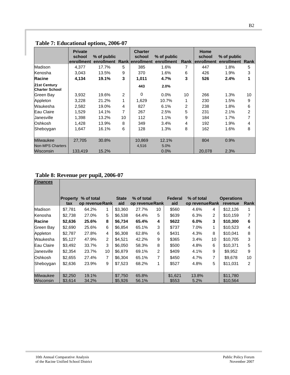|                                       | <b>Private</b><br>school<br>enrollment | % of public<br>enrollment Ranklenrollment |                | <b>Charter</b><br>school | % of public<br>enrollment | Rank | Home<br>school<br>lenrollment | % of public<br>enrollment | Rank |
|---------------------------------------|----------------------------------------|-------------------------------------------|----------------|--------------------------|---------------------------|------|-------------------------------|---------------------------|------|
| Madison                               | 4,377                                  | 17.7%                                     | 5              | 385                      | 1.6%                      | 7    | 447                           | 1.8%                      | 5    |
| Kenosha                               | 3,043                                  | 13.5%                                     | 9              | 370                      | 1.6%                      | 6    | 426                           | 1.9%                      | 3    |
| <b>Racine</b>                         | 4,134                                  | 19.1%                                     | 3              | 1,011                    | 4.7%                      | 3    | 526                           | 2.4%                      | 1    |
| 21st Century<br><b>Charter School</b> |                                        |                                           |                | 443                      | 2.0%                      |      |                               |                           |      |
| Green Bay                             | 3,932                                  | 19.6%                                     | $\overline{2}$ | 0                        | $0.0\%$                   | 10   | 266                           | 1.3%                      | 10   |
| Appleton                              | 3,228                                  | 21.2%                                     | 1              | 1,629                    | 10.7%                     | 1    | 230                           | 1.5%                      | 9    |
| Waukesha                              | 2.582                                  | 19.0%                                     | 4              | 827                      | 6.1%                      | 2    | 238                           | 1.8%                      | 6    |
| Eau Claire                            | 1,529                                  | 14.1%                                     | 7              | 267                      | 2.5%                      | 5    | 231                           | 2.1%                      | 2    |
| <b>Janesville</b>                     | 1,398                                  | 13.2%                                     | 10             | 112                      | 1.1%                      | 9    | 184                           | 1.7%                      | 7    |
| Oshkosh                               | 1,428                                  | 13.9%                                     | 8              | 349                      | 3.4%                      | 4    | 192                           | 1.9%                      | 4    |
| Sheboygan                             | 1,647                                  | 16.1%                                     | 6              | 128                      | 1.3%                      | 8    | 162                           | 1.6%                      | 8    |
| <b>Milwaukee</b>                      | 27.705                                 | 30.8%                                     |                | 10,869                   | 12.1%                     |      | 804                           | 0.9%                      |      |
| <b>Non-MPS Charters</b><br>Wisconsin  | 133,419                                | 15.2%                                     |                | 4,516                    | 5.0%<br>$0.0\%$           |      | 20.078                        | 2.3%                      |      |

# **Table 7: Educational options, 2006-07**

# **Table 8: Revenue per pupil, 2006-07**

| <b>Finances</b>  |                        |                               |                |                     |                               |              |                       |                               |    |                              |                |
|------------------|------------------------|-------------------------------|----------------|---------------------|-------------------------------|--------------|-----------------------|-------------------------------|----|------------------------------|----------------|
|                  | <b>Property</b><br>tax | % of total<br>op revenue Rank |                | <b>State</b><br>aid | % of total<br>op revenue Rank |              | <b>Federal</b><br>aid | % of total<br>op revenue Rank |    | <b>Operations</b><br>revenue | Rank           |
| Madison          | \$7,781                | 64.2%                         | 1              | \$3,360             | 27.7%                         | 10           | \$560                 | 4.6%                          | 4  | \$12,126                     | 1              |
| Kenosha          | \$2,738                | 27.0%                         | 5              | \$6,538             | 64.4%                         | 5            | \$639                 | 6.3%                          | 2  | \$10,159                     | 7              |
| <b>Racine</b>    | \$2,636                | 25.6%                         | 8              | \$6,734             | 65.4%                         | 4            | \$622                 | 6.0%                          | 3  | \$10,300                     | $\bf 6$        |
| Green Bay        | \$2,690                | 25.6%                         | 6              | \$6,854             | 65.1%                         | 3            | \$737                 | 7.0%                          | 1  | \$10,523                     | 4              |
| Appleton         | \$2,787                | 27.8%                         | 4              | \$6,308             | 62.8%                         | 6            | \$431                 | 4.3%                          | 8  | \$10,041                     | 8              |
| Waukesha         | \$5,127                | 47.9%                         | $\overline{2}$ | \$4,521             | 42.2%                         | 9            | \$365                 | 3.4%                          | 10 | \$10,705                     | 3              |
| Eau Claire       | \$3,492                | 33.7%                         | 3              | \$6,050             | 58.3%                         | 8            | \$500                 | 4.8%                          | 6  | \$10,371                     | 5              |
| Uanesville       | \$2,354                | 23.7%                         | 10             | \$6,879             | 69.1%                         | 2            | \$409                 | 4.1%                          | 9  | \$9,952                      | 9              |
| Oshkosh          | \$2,655                | 27.4%                         | 7              | \$6,304             | 65.1%                         | 7            | \$450                 | 4.7%                          | 7  | \$9,678                      | 10             |
| Sheboygan        | \$2,636                | 23.9%                         | 9              | \$7,523             | 68.2%                         | $\mathbf{1}$ | \$527                 | 4.8%                          | 5  | \$11,031                     | $\overline{2}$ |
|                  |                        |                               |                |                     |                               |              |                       |                               |    |                              |                |
| <b>Milwaukee</b> | \$2,250                | 19.1%                         |                | \$7,750             | 65.8%                         |              | \$1,621               | 13.8%                         |    | \$11,780                     |                |
| Wisconsin        | \$3,614                | 34.2%                         |                | \$5,926             | 56.1%                         |              | \$553                 | 5.2%                          |    | \$10,564                     |                |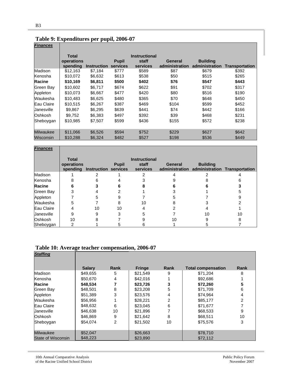| <b>Finances</b>   |                                        |                    |                          |                                           |                           |                                   |                       |
|-------------------|----------------------------------------|--------------------|--------------------------|-------------------------------------------|---------------------------|-----------------------------------|-----------------------|
|                   | <b>Total</b><br>operations<br>spending | <b>Instruction</b> | <b>Pupil</b><br>services | <b>Instructional</b><br>staff<br>services | General<br>administration | <b>Building</b><br>administration | <b>Transportation</b> |
| Madison           | \$12,163                               | \$7,184            | \$777                    | \$589                                     | \$87                      | \$679                             | \$392                 |
| Kenosha           | \$10,072                               | \$6,632            | \$613                    | \$538                                     | \$50                      | \$515                             | \$265                 |
| <b>Racine</b>     | \$10,169                               | \$6,811            | \$500                    | \$402                                     | \$76                      | \$547                             | \$443                 |
| Green Bay         | \$10,602                               | \$6,717            | \$674                    | \$622                                     | \$91                      | \$702                             | \$317                 |
| Appleton          | \$10,073                               | \$6,667            | \$477                    | \$420                                     | \$80                      | \$516                             | \$190                 |
| Waukesha          | \$10,483                               | \$6,625            | \$480                    | \$365                                     | \$70                      | \$648                             | \$450                 |
| Eau Claire        | \$10.515                               | \$6,267            | \$387                    | \$469                                     | \$104                     | \$599                             | \$452                 |
| <b>Janesville</b> | \$9,867                                | \$6,295            | \$639                    | \$441                                     | \$74                      | \$442                             | \$166                 |
| Oshkosh           | \$9,752                                | \$6,383            | \$497                    | \$392                                     | \$39                      | \$468                             | \$231                 |
| Sheboygan         | \$10,985                               | \$7,507            | \$599                    | \$436                                     | \$155                     | \$572                             | \$238                 |
| Milwaukee         | \$11,066                               | \$6,526            | \$594                    | \$752                                     | \$229                     | \$627                             | \$642                 |
| Wisconsin         | \$10,288                               | \$6,324            | \$482                    | \$527                                     | \$198                     | \$536                             | \$449                 |

# **Table 9: Expenditures per pupil, 2006-07**

| <b>Finances</b>   |                            |                               |              |                                           |                |                 |                                              |
|-------------------|----------------------------|-------------------------------|--------------|-------------------------------------------|----------------|-----------------|----------------------------------------------|
|                   | <b>Total</b><br>operations | spending Instruction services | <b>Pupil</b> | <b>Instructional</b><br>staff<br>services | <b>General</b> | <b>Building</b> | administration administration Transportation |
| Madison           |                            |                               |              |                                           |                |                 |                                              |
| Kenosha           |                            |                               |              |                                           |                |                 |                                              |
| Racine            |                            |                               |              |                                           |                |                 |                                              |
| Green Bay         |                            |                               |              |                                           |                |                 |                                              |
| Appleton          |                            | 5                             |              |                                           |                |                 |                                              |
| Waukesha          | 5                          |                               | 8            | 10                                        |                |                 |                                              |
| Eau Claire        |                            | 10                            | 10           |                                           |                |                 |                                              |
| <b>Janesville</b> | 9                          |                               |              |                                           |                | 10              | 10                                           |
| Oshkosh           | 10                         |                               |              |                                           |                |                 |                                              |
| Sheboygan         |                            |                               |              |                                           |                |                 |                                              |

#### **Table 10: Average teacher compensation, 2006-07**

| <b>Staffing</b>    |               |                |               |      |                           |             |
|--------------------|---------------|----------------|---------------|------|---------------------------|-------------|
|                    | <b>Salary</b> | <b>Rank</b>    | <b>Fringe</b> | Rank | <b>Total compensation</b> | <b>Rank</b> |
| Madison            | \$49.655      | 5              | \$21.549      | 9    | \$71.204                  | 8           |
| Kenosha            | \$50,670      | 4              | \$42,016      |      | \$92,686                  |             |
| Racine             | \$48,534      |                | \$23,726      | 3    | \$72,260                  |             |
| Green Bay          | \$48,501      | 8              | \$23,208      | 5    | \$71,709                  | 6           |
| Appleton           | \$51,389      | 3              | \$23,576      | 4    | \$74.964                  | 4           |
| Waukesha           | \$56,956      |                | \$28,221      | 2    | \$85,177                  | 2           |
| Eau Claire         | \$48,632      | 6              | \$23.045      | 6    | \$71.677                  |             |
| Janesville         | \$46,638      | 10             | \$21,896      |      | \$68,533                  | 9           |
| Oshkosh            | \$46,869      | 9              | \$21.642      | 8    | \$68,511                  | 10          |
| Sheboygan          | \$54.074      | $\mathfrak{p}$ | \$21.502      | 10   | \$75,576                  | 3           |
| Milwaukee          | \$52,047      |                | \$26,663      |      | \$78,710                  |             |
| State of Wisconsin | \$48,223      |                | \$23,890      |      | \$72,112                  |             |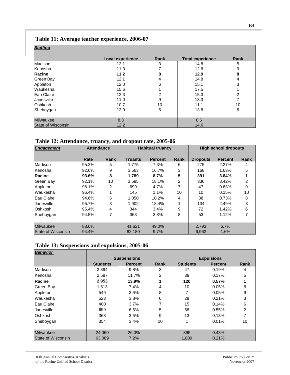## **Table 11: Average teacher experience, 2006-07**

| <b>Staffing</b>           |                         |      |                         |      |
|---------------------------|-------------------------|------|-------------------------|------|
|                           | <b>Local experience</b> | Rank | <b>Total experience</b> | Rank |
| Madison                   | 12.1                    | 3    | 14.8                    | 5    |
| Kenosha                   | 11.3                    | 7    | 12.6                    | 9    |
| Racine                    | 11.2                    | 8    | 12.9                    | 8    |
| Green Bay                 | 12.1                    | 4    | 14.8                    | 4    |
| Appleton                  | 12.0                    | 6    | 15.1                    | 3    |
| Waukesha                  | 15.6                    |      | 17.5                    |      |
| Eau Claire                | 12.3                    | 2    | 15.3                    | 2    |
| <b>Janesville</b>         | 11.0                    | 9    | 13.3                    | 7    |
| Oshkosh                   | 10.7                    | 10   | 11.1                    | 10   |
| Sheboygan                 | 12.0                    | 5    | 13.8                    | 6    |
|                           |                         |      |                         |      |
| <b>Milwaukee</b>          | 8.3                     |      | 8.6                     |      |
| <b>State of Wisconsin</b> | 12.2                    |      | 14.6                    |      |

#### **Table 12: Attendance, truancy, and dropout rate, 2005-06**

| <b>Engagement</b>  | <b>Attendance</b> |      |                | <b>Habitual truancy</b> |             |                 | <b>High school dropouts</b> |      |
|--------------------|-------------------|------|----------------|-------------------------|-------------|-----------------|-----------------------------|------|
|                    | Rate              | Rank | <b>Truants</b> | <b>Percent</b>          | <b>Rank</b> | <b>Dropouts</b> | <b>Percent</b>              | Rank |
| Madison            | 95.2%             | 5    | 1.775          | 7.3%                    | 6           | 275             | 2.27%                       | 4    |
| Kenosha            | 92.6%             | 9    | 3.563          | 16.7%                   | 3           | 168             | 1.63%                       | 5    |
| Racine             | 93.6%             | 8    | 1,789          | 8.7%                    | 5           | 391             | 3.84%                       |      |
| <b>Green Bay</b>   | 92.1%             | 10   | 3.585          | 18.1%                   | 2           | 336             | 3.42%                       | 2    |
| Appleton           | 96.1%             | 2    | 699            | 4.7%                    | 7           | 47              | 0.63%                       | 9    |
| Waukesha           | 96.4%             |      | 145            | 1.1%                    | 10          | 10              | 0.15%                       | 10   |
| <b>Eau Claire</b>  | 94.6%             | 6    | 1.050          | 10.2%                   | 4           | 38              | 0.73%                       | 8    |
| <b>Janesville</b>  | 95.7%             | 3    | 1.902          | 18.4%                   |             | 134             | 2.49%                       | 3    |
| <b>Oshkosh</b>     | 95.4%             | 4    | 344            | 3.4%                    | 9           | 72              | 1.42%                       | 6    |
| Sheboygan          | 94.5%             | 7    | 363            | 3.8%                    | 8           | 53              | 1.12%                       | 7    |
|                    |                   |      |                |                         |             |                 |                             |      |
| Milwaukee          | 88.6%             |      | 41,621         | 49.0%                   |             | 2.793           | 6.7%                        |      |
| State of Wisconsin | 94.4%             |      | 82.180         | 9.7%                    |             | 6.962           | 1.6%                        |      |

#### **Table 13: Suspensions and expulsions, 2005-06**

| <b>Behavior</b>    |                 |                    |             |                 |                   |             |
|--------------------|-----------------|--------------------|-------------|-----------------|-------------------|-------------|
|                    |                 | <b>Suspensions</b> |             |                 | <b>Expulsions</b> |             |
|                    | <b>Students</b> | <b>Percent</b>     | <b>Rank</b> | <b>Students</b> | <b>Percent</b>    | <b>Rank</b> |
| Madison            | 2,394           | 9.8%               | 3           | 47              | 0.19%             | 4           |
| Kenosha            | 2,587           | 11.7%              | 2           | 38              | 0.17%             | 5           |
| Racine             | 2,953           | 13.9%              | 1           | 120             | 0.57%             |             |
| Green Bay          | 1,513           | 7.4%               | 4           | 10              | 0.05%             | 8           |
| Appleton           | 549             | 3.6%               | 8           | 7               | 0.05%             | 9           |
| Waukesha           | 523             | 3.8%               | 6           | 28              | 0.21%             | 3           |
| Eau Claire         | 400             | 3.7%               | 7           | 15              | 0.14%             | 6           |
| Uanesville         | 699             | 6.6%               | 5           | 58              | 0.55%             | 2           |
| <b>Oshkosh</b>     | 368             | 3.6%               | 9           | 13              | 0.13%             | 7           |
| Sheboygan          | 354             | 3.4%               | 10          | 1               | 0.01%             | 10          |
|                    |                 |                    |             |                 |                   |             |
| <b>Milwaukee</b>   | 24.060          | 26.0%              |             | 395             | 0.43%             |             |
| State of Wisconsin | 63,089          | 7.2%               |             | 1,809           | 0.21%             |             |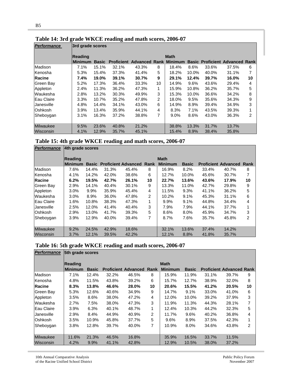| <b>Performance</b> | 3rd grade scores |              |       |                                         |                |             |       |       |                                       |    |  |
|--------------------|------------------|--------------|-------|-----------------------------------------|----------------|-------------|-------|-------|---------------------------------------|----|--|
|                    | <b>Reading</b>   |              |       |                                         |                | <b>Math</b> |       |       |                                       |    |  |
|                    | <b>Minimum</b>   | <b>Basic</b> |       | <b>Proficient Advanced Rank Minimum</b> |                |             |       |       | <b>Basic Proficient Advanced Rank</b> |    |  |
| Madison            | 7.1%             | 15.1%        | 32.1% | 43.3%                                   | 8              | 18.4%       | 8.6%  | 33.6% | 37.5%                                 | 6  |  |
| Kenosha            | 5.3%             | 15.4%        | 37.3% | 41.4%                                   | 5              | 18.2%       | 10.0% | 40.0% | 31.1%                                 | 7  |  |
| Racine             | 7.4%             | 19.0%        | 39.1% | 30.7%                                   | 9              | 29.1%       | 12.4% | 39.7% | 16.0%                                 | 10 |  |
| Green Bay          | 5.2%             | 17.3%        | 36.4% | 33.3%                                   | 10             | 14.9%       | 9.6%  | 43.6% | 29.4%                                 | 4  |  |
| Appleton           | 2.4%             | 11.3%        | 36.2% | 47.3%                                   | 1              | 15.9%       | 10.8% | 36.2% | 35.7%                                 | 5  |  |
| Waukesha           | 2.8%             | 13.2%        | 30.3% | 49.9%                                   | 3              | 15.3%       | 10.0% | 36.6% | 34.2%                                 | 8  |  |
| Eau Claire         | 3.3%             | 10.7%        | 35.2% | 47.8%                                   | $\overline{2}$ | 18.0%       | 9.5%  | 35.6% | 34.3%                                 | 9  |  |
| IJanesville        | 4.8%             | 14.4%        | 34.1% | 43.0%                                   | 6              | 14.9%       | 8.9%  | 39.4% | 34.9%                                 | 3  |  |
| Oshkosh            | 3.9%             | 13.4%        | 35.9% | 44.1%                                   | 4              | 8.3%        | 7.1%  | 43.5% | 39.3%                                 | 1  |  |
| Sheboygan          | 3.1%             | 16.3%        | 37.2% | 38.8%                                   | 7              | $9.0\%$     | 8.6%  | 43.0% | 36.3%                                 | 2  |  |
| <b>Milwaukee</b>   | 9.5%             | 23.6%        | 40.8% | 21.2%                                   |                | 38.8%       | 13.3% | 31.7% | 13.7%                                 |    |  |
| Wisconsin          | 4.1%             | 12.9%        | 35.7% | 45.1%                                   |                | 15.4%       | 8.9%  | 38.4% | 35.8%                                 |    |  |

#### **Table 14: 3rd grade WKCE reading and math scores, 2006-07**

|  |  |  |  | Table 15: 4th grade WKCE reading and math scores, 2006-07 |
|--|--|--|--|-----------------------------------------------------------|
|  |  |  |  |                                                           |

| <b>Performance</b> | 4th grade scores |              |       |                            |                |                |              |       |                                 |    |
|--------------------|------------------|--------------|-------|----------------------------|----------------|----------------|--------------|-------|---------------------------------|----|
|                    | Reading          |              |       |                            |                | <b>Math</b>    |              |       |                                 |    |
|                    | <b>Minimum</b>   | <b>Basic</b> |       | <b>Proficient Advanced</b> | <b>Rank</b>    | <b>Minimum</b> | <b>Basic</b> |       | <b>Proficient Advanced Rank</b> |    |
| Madison            | 7.6%             | 14.4%        | 31.3% | 45.4%                      | 8              | 16.9%          | 8.2%         | 33.4% | 40.7%                           | 8  |
| Kenosha            | 4.1%             | 14.2%        | 42.0% | 38.6%                      | 6              | 12.7%          | 10.0%        | 45.6% | 30.7%                           | 7  |
| Racine             | 6.2%             | 19.5%        | 42.7% | 26.1%                      | 10             | 22.7%          | 13.6%        | 43.6% | 17.9%                           | 10 |
| Green Bay          | 2.9%             | 14.1%        | 40.4% | 30.1%                      | 9              | 13.3%          | 11.0%        | 42.7% | 29.8%                           | 9  |
| Appleton           | 3.0%             | 9.9%         | 35.9% | 45.4%                      | 4              | 11.5%          | 9.3%         | 41.1% | 36.2%                           | 5  |
| Waukesha           | 3.0%             | 8.9%         | 36.0% | 47.8%                      | $\overline{2}$ | 10.2%          | 9.1%         | 45.3% | 31.1%                           | 6  |
| Eau Claire         | 1.6%             | 10.8%        | 38.3% | 47.3%                      | 1              | $9.9\%$        | 9.1%         | 44.8% | 34.4%                           | 4  |
| Janesville         | 2.5%             | 12.0%        | 41.4% | 40.4%                      | 3              | 7.9%           | 7.9%         | 44.1% | 37.7%                           | 1  |
| Oshkosh            | 2.9%             | 13.0%        | 41.7% | 39.3%                      | 5              | 8.6%           | 8.0%         | 45.9% | 34.7%                           | 3  |
| Sheboygan          | 3.9%             | 12.9%        | 40.0% | 39.4%                      | 7              | 8.7%           | 7.6%         | 35.7% | 45.8%                           | 2  |
| Milwaukee          | 9.2%             | 24.5%        | 42.9% | 18.6%                      |                | 32.1%          | 13.6%        | 37.4% | 14.2%                           |    |
| Wisconsin          | 3.7%             | 12.1%        | 39.5% | 42.2%                      |                | 12.1%          | 8.8%         | 41.8% | 35.7%                           |    |

# **Table 16: 5th grade WKCE reading and math scores, 2006-07**

| <b>Performance</b> |          | 5th grade scores |       |                            |      |                |              |       |                                 |                |
|--------------------|----------|------------------|-------|----------------------------|------|----------------|--------------|-------|---------------------------------|----------------|
|                    | Reading  |                  |       |                            |      | <b>Math</b>    |              |       |                                 |                |
|                    | lMinimum | <b>Basic</b>     |       | <b>Proficient Advanced</b> | Rank | <b>Minimum</b> | <b>Basic</b> |       | <b>Proficient Advanced Rank</b> |                |
| Madison            | $7.1\%$  | 12.4%            | 32.2% | 46.5%                      | 8    | 15.9%          | 11.9%        | 31.1% | 39.7%                           | 9              |
| Kenosha            | 4.8%     | 11.5%            | 43.8% | 39.2%                      | 6    | 15.7%          | 12.7%        | 38.9% | 32.0%                           | 8              |
| <b>Racine</b>      | 8.3%     | 13.8%            | 46.6% | 28.0%                      | 10   | 20.6%          | 15.5%        | 41.2% | 20.5%                           | 10             |
| Green Bay          | 5.3%     | 12.6%            | 40.6% | 34.9%                      | 9    | 14.7%          | 9.1%         | 33.0% | 41.0%                           | 6              |
| Appleton           | 3.5%     | 8.6%             | 38.0% | 47.2%                      | 4    | 12.0%          | 10.0%        | 39.2% | 37.9%                           | 3              |
| Waukesha           | 2.7%     | 7.5%             | 38.0% | 47.3%                      | 3    | 11.9%          | 11.3%        | 44.3% | 28.1%                           | 7              |
| Eau Claire         | 3.9%     | 6.3%             | 40.1% | 48.7%                      | 1    | 12.4%          | 10.3%        | 44.2% | 32.3%                           | 5              |
| lJanesville        | 2.9%     | 8.4%             | 44.9% | 40.9%                      | 2    | 11.7%          | 9.6%         | 40.2% | 36.8%                           | $\overline{4}$ |
| Oshkosh            | 3.5%     | 10.9%            | 45.8% | 37.7%                      | 5    | 9.6%           | 8.9%         | 37.5% | 42.3%                           | 1              |
| Sheboygan          | 3.8%     | 12.8%            | 39.7% | 40.0%                      | 7    | 10.9%          | 8.0%         | 34.6% | 43.8%                           | 2              |
|                    |          |                  |       |                            |      |                |              |       |                                 |                |
| <b>Milwaukee</b>   | 11.6%    | 21.3%            | 46.5% | 16.8%                      |      | 35.9%          | 16.5%        | 33.7% | 11.5%                           |                |
| Wisconsin          | 4.2%     | 9.9%             | 41.1% | 42.8%                      |      | 12.9%          | 10.5%        | 38.0% | 37.2%                           |                |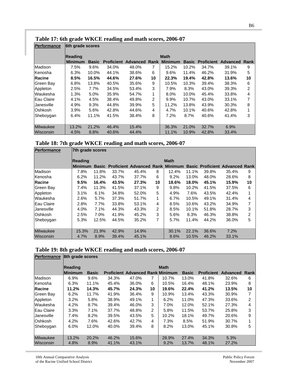| Performance      | 6th grade scores          |              |       |                                         |    |             |       |                         |          |                |
|------------------|---------------------------|--------------|-------|-----------------------------------------|----|-------------|-------|-------------------------|----------|----------------|
|                  | Reading<br><b>Minimum</b> | <b>Basic</b> |       | <b>Proficient Advanced Rank Minimum</b> |    | <b>Math</b> |       | <b>Basic Proficient</b> | Advanced | Rank           |
| Madison          | 7.5%                      | 9.6%         | 34.0% | 48.0%                                   | 7  | 15.2%       | 10.2% | 34.7%                   | 39.1%    | 9              |
| Kenosha          | 6.3%                      | 10.0%        | 44.1% | 38.6%                                   | 6  | 9.6%        | 11.4% | 46.2%                   | 31.9%    | 5              |
| <b>Racine</b>    | 8.5%                      | 16.5%        | 44.6% | 27.6%                                   | 10 | 22.3%       | 19.4% | 42.8%                   | 13.6%    | 10             |
| Green Bay        | 6.8%                      | 13.8%        | 40.5% | 35.6%                                   | 9  | 10.5%       | 10.3% | 39.4%                   | 38.3%    | 6              |
| Appleton         | 2.5%                      | 7.7%         | 34.5% | 53.4%                                   | 3  | 7.9%        | 8.3%  | 43.0%                   | 39.3%    | $\overline{2}$ |
| lWaukesha        | 1.3%                      | 5.0%         | 35.9% | 54.7%                                   | 1  | 8.0%        | 10.0% | 45.4%                   | 33.8%    | 4              |
| Eau Claire       | 4.1%                      | 4.5%         | 38.4% | 49.8%                                   | 2  | $9.9\%$     | 10.7% | 43.0%                   | 33.1%    | 7              |
| Janesville       | 4.9%                      | 9.3%         | 44.8% | 39.9%                                   | 5  | 11.2%       | 13.8% | 43.9%                   | 30.3%    | 8              |
| Oshkosh          | $3.9\%$                   | 5.6%         | 42.8% | 44.6%                                   | 4  | 4.7%        | 10.1% | 40.6%                   | 42.8%    | 1              |
| <b>Shebovgan</b> | 6.4%                      | 11.1%        | 41.5% | 38.4%                                   | 8  | 7.2%        | 8.7%  | 40.6%                   | 41.4%    | 3              |
|                  |                           |              |       |                                         |    |             |       |                         |          |                |
| Milwaukee        | 13.2%                     | 21.2%        | 46.4% | 15.4%                                   |    | 36.3%       | 21.0% | 32.7%                   | 6.9%     |                |
| Wisconsin        | 4.5%                      | 8.8%         | 40.6% | 44.4%                                   |    | 11.1%       | 10.9% | 42.8%                   | 33.4%    |                |

#### **Table 17: 6th grade WKCE reading and math scores, 2006-07**

|  | Table 18: 7th grade WKCE reading and math scores, 2006-07 |  |  |  |
|--|-----------------------------------------------------------|--|--|--|
|--|-----------------------------------------------------------|--|--|--|

| <b>Performance</b> | 7th grade scores |       |       |                                               |    |             |          |       |                                       |    |
|--------------------|------------------|-------|-------|-----------------------------------------------|----|-------------|----------|-------|---------------------------------------|----|
|                    | Reading          |       |       |                                               |    | <b>Math</b> |          |       |                                       |    |
|                    | <b>Minimum</b>   |       |       | <b>Basic Proficient Advanced Rank Minimum</b> |    |             |          |       | <b>Basic Proficient Advanced Rank</b> |    |
| Madison            | 7.8%             | 11.8% | 33.7% | 45.4%                                         | 8  | 12.4%       | 11.1%    | 39.8% | 35.4%                                 | 9  |
| Kenosha            | 6.2%             | 11.2% | 43.7% | 37.7%                                         | 6  | 9.2%        | 13.0%    | 48.0% | 28.6%                                 | 8  |
| Racine             | 9.5%             | 16.4% | 43.5% | 27.3%                                         | 10 | 18.6%       | 18.0%    | 45.1% | 15.9%                                 | 10 |
| Green Bay          | 7.4%             | 11.3% | 41.5% | 37.1%                                         | 9  | 9.8%        | $10.2\%$ | 41.5% | 37.5%                                 | 6  |
| Appleton           | 3.1%             | 6.1%  | 34.8% | 52.0%                                         | 5  | 4.9%        | 7.6%     | 43.5% | 42.4%                                 | 1  |
| Waukesha           | 2.6%             | 5.7%  | 37.3% | 51.7%                                         | 1  | 6.7%        | 10.5%    | 49.1% | 31.4%                                 | 4  |
| Eau Claire         | 2.8%             | 7.7%  | 33.8% | 53.1%                                         | 4  | 8.5%        | 10.6%    | 43.2% | 34.9%                                 | 7  |
| Janesville         | 4.0%             | 7.1%  | 44.3% | 43.3%                                         | 2  | 8.5%        | $10.1\%$ | 51.8% | 28.7%                                 | 3  |
| Oshkosh            | 2.5%             | 7.0%  | 41.9% | 45.2%                                         | 3  | 5.6%        | 8.3%     | 46.3% | 38.8%                                 | 2  |
| Sheboygan          | 5.3%             | 12.5% | 44.5% | 35.2%                                         | 7  | 5.7%        | 11.4%    | 44.2% | 36.0%                                 | 5  |
|                    |                  |       |       |                                               |    |             |          |       |                                       |    |
| Milwaukee          | 15.3%            | 21.9% | 42.9% | 14.9%                                         |    | 30.1%       | 22.1%    | 36.6% | 7.2%                                  |    |
| Wisconsin          | 4.7%             | 8.9%  | 39.4% | 45.1%                                         |    | 8.6%        | 10.5%    | 46.2% | 33.1%                                 |    |

#### **Table 19: 8th grade WKCE reading and math scores, 2006-07**

| <b>Performance</b> | 8th grade scores |              |       |                                         |    |             |              |                   |                 |       |
|--------------------|------------------|--------------|-------|-----------------------------------------|----|-------------|--------------|-------------------|-----------------|-------|
|                    | Reading          |              |       |                                         |    | <b>Math</b> |              |                   |                 |       |
|                    | <b>Minimum</b>   | <b>Basic</b> |       | <b>Proficient Advanced Rank Minimum</b> |    |             | <b>Basic</b> | <b>Proficient</b> | <b>Advanced</b> | Rankl |
| Madison            | 6.9%             | 9.6%         | 34.3% | 47.0%                                   | 7  | 10.7%       | 13.0%        | 41.8%             | 32.6%           | 6     |
| Kenosha            | 6.3%             | 11.1%        | 45.4% | 36.0%                                   | 6  | 10.5%       | 16.4%        | 48.1%             | 23.9%           | 8     |
| Racine             | 11.2%            | 14.3%        | 45.7% | 24.3%                                   | 10 | 19.6%       | 22.4%        | 41.2%             | 13.5%           | 10    |
| Green Bay          | 6.2%             | 11.7%        | 41.9% | 36.4%                                   | 9  | 10.9%       | 13.4%        | 43.3%             | 30.9%           | 7     |
| Appleton           | 3.2%             | 5.8%         | 38.9% | 49.1%                                   | 1  | 6.2%        | 11.0%        | 47.3%             | 33.6%           | 2     |
| Waukesha           | 4.2%             | 8.7%         | 39.4% | 46.0%                                   | 3  | $7.0\%$     | 12.0%        | 52.1%             | 27.3%           | 4     |
| Eau Claire         | 3.3%             | 7.1%         | 37.7% | 48.8%                                   | 2  | 5.8%        | 11.5%        | 53.7%             | 25.8%           | 3     |
| <b>Janesville</b>  | 7.4%             | 8.2%         | 39.5% | 43.5%                                   | 5  | 10.2%       | 18.1%        | 49.7%             | 20.6%           | 9     |
| Oshkosh            | 4.2%             | 7.6%         | 42.6% | 42.7%                                   | 4  | 7.3%        | 8.5%         | 51.9%             | 30.7%           | 1     |
| Sheboygan          | 6.0%             | 12.0%        | 40.0% | 39.4%                                   | 8  | 8.2%        | 13.0%        | 45.1%             | 30.8%           | 5     |
|                    |                  |              |       |                                         |    |             |              |                   |                 |       |
| Milwaukee          | 13.2%            | 20.2%        | 46.2% | 15.6%                                   |    | 28.9%       | 27.4%        | 34.3%             | 5.3%            |       |
| Wisconsin          | 4.8%             | 8.9%         | 41.1% | 43.1%                                   |    | 9.2%        | 13.7%        | 48.1%             | 27.2%           |       |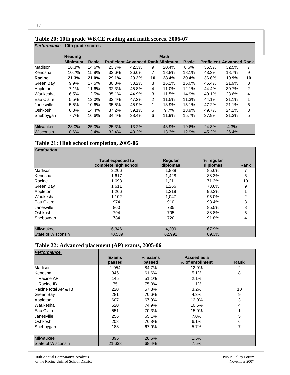| Performance      |                           | 10th grade scores |                                         |       |    |             |              |       |                                 |                |
|------------------|---------------------------|-------------------|-----------------------------------------|-------|----|-------------|--------------|-------|---------------------------------|----------------|
|                  | Reading<br><b>Minimum</b> | <b>Basic</b>      | <b>Proficient Advanced Rank Minimum</b> |       |    | <b>Math</b> | <b>Basic</b> |       | <b>Proficient Advanced Rank</b> |                |
| Madison          | 16.3%                     | 14.6%             | 23.7%                                   | 42.3% | 9  | 20.4%       | 8.6%         | 35.5% | 32.5%                           | 7              |
| Kenosha          | 10.7%                     | 15.9%             | 33.6%                                   | 36.6% | 7  | 18.8%       | 18.1%        | 43.3% | 18.7%                           | 9              |
| Racine           | 21.3%                     | 21.0%             | 29.1%                                   | 23.2% | 10 | 28.4%       | 20.4%        | 36.8% | 10.9%                           | 10             |
| Green Bay        | 9.9%                      | 17.5%             | 30.8%                                   | 38.2% | 8  | 16.1%       | 15.0%        | 45.4% | 21.9%                           | 8              |
| Appleton         | 7.1%                      | 11.6%             | 32.3%                                   | 45.8% | 4  | 11.0%       | 12.1%        | 44.4% | 30.7%                           | $\overline{2}$ |
| Waukesha         | 6.5%                      | 12.5%             | 35.1%                                   | 44.9% | 3  | 11.5%       | 14.9%        | 49.1% | 23.6%                           | 4              |
| Eau Claire       | 5.5%                      | 12.0%             | 33.4%                                   | 47.2% | 2  | 11.5%       | 11.3%        | 44.1% | 31.1%                           | 1              |
| lJanesville      | 5.5%                      | 10.6%             | 35.5%                                   | 45.9% | 1  | 13.9%       | 15.1%        | 47.2% | 21.1%                           | 6              |
| Oshkosh          | 6.3%                      | 14.4%             | 37.2%                                   | 39.1% | 5  | 9.7%        | 13.9%        | 49.7% | 24.2%                           | 3              |
| Sheboygan        | 7.7%                      | 16.6%             | 34.4%                                   | 38.4% | 6  | 11.9%       | 15.7%        | 37.9% | 31.3%                           | 5              |
| <b>Milwaukee</b> | 28.0%                     | 25.0%             | 25.3%                                   | 13.2% |    | 43.9%       | 19.6%        | 24.3% | 4.3%                            |                |
| Wisconsin        | 8.6%                      | 13.4%             | 32.4%                                   | 43.2% |    | 13.3%       | 12.9%        | 45.2% | 26.4%                           |                |

#### **Table 20: 10th grade WKCE reading and math scores, 2006-07**

#### **Table 21: High school completion, 2005-06**

| <b>Graduation</b>  |                                                  |                     |                       |      |
|--------------------|--------------------------------------------------|---------------------|-----------------------|------|
|                    | <b>Total expected to</b><br>complete high school | Regular<br>diplomas | % regular<br>diplomas | Rank |
| Madison            | 2,206                                            | 1,888               | 85.6%                 |      |
| Kenosha            | 1,617                                            | 1,428               | 88.3%                 | 6    |
| Racine             | 1,698                                            | 1,211               | 71.3%                 | 10   |
| Green Bay          | 1.611                                            | 1.266               | 78.6%                 | 9    |
| Appleton           | 1,266                                            | 1,219               | 96.3%                 |      |
| Waukesha           | 1,102                                            | 1.047               | 95.0%                 | 2    |
| Eau Claire         | 974                                              | 910                 | 93.4%                 | 3    |
| <b>Janesville</b>  | 860                                              | 735                 | 85.5%                 | 8    |
| <b>Oshkosh</b>     | 794                                              | 705                 | 88.8%                 | 5    |
| Sheboygan          | 784                                              | 720                 | 91.8%                 | 4    |
| <b>Milwaukee</b>   | 6,346                                            | 4,309               | 67.9%                 |      |
| State of Wisconsin | 70.539                                           | 62.991              | 89.3%                 |      |

# **Table 22: Advanced placement (AP) exams, 2005-06**

| Performance          |              |           |                 |      |
|----------------------|--------------|-----------|-----------------|------|
|                      | <b>Exams</b> | $%$ exams | Passed as a     |      |
|                      | passed       | passed    | % of enrollment | Rank |
| Madison              | 1,054        | 84.7%     | 12.9%           | 2    |
| Kenosha              | 346          | 61.6%     | 5.1%            | 8    |
| Racine AP            | 145          | 51.1%     | 2.1%            |      |
| Racine IB            | 75           | 75.0%     | 1.1%            |      |
| Racine total AP & IB | 220          | 57.3%     | 3.2%            | 10   |
| Green Bay            | 281          | 70.6%     | 4.3%            | 9    |
| Appleton             | 607          | 67.9%     | 12.0%           | 3    |
| Waukesha             | 520          | 74.9%     | 10.5%           | 4    |
| Eau Claire           | 551          | 70.3%     | 15.0%           |      |
| lJanesville          | 256          | 65.1%     | 7.0%            | 5    |
| Oshkosh              | 208          | 76.8%     | 6.1%            | 6    |
| Sheboygan            | 188          | 67.9%     | 5.7%            | 7    |
|                      |              |           |                 |      |
| <b>Milwaukee</b>     | 395          | 28.5%     | 1.5%            |      |
| State of Wisconsin   | 21,638       | 68.4%     | 7.5%            |      |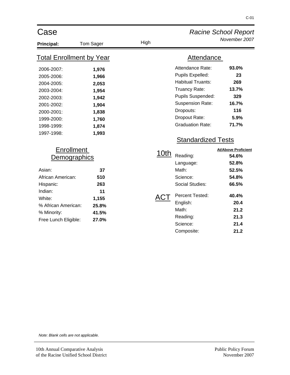| Case                                                                                                                                                             |                                                                                        |      |                                                                                                                                                                                            | <b>Racine School Report</b>                                                                                              |
|------------------------------------------------------------------------------------------------------------------------------------------------------------------|----------------------------------------------------------------------------------------|------|--------------------------------------------------------------------------------------------------------------------------------------------------------------------------------------------|--------------------------------------------------------------------------------------------------------------------------|
| <b>Principal:</b>                                                                                                                                                | Tom Sager                                                                              | High |                                                                                                                                                                                            | November 2007                                                                                                            |
| <b>Total Enrollment by Year</b>                                                                                                                                  |                                                                                        |      | <b>Attendance</b>                                                                                                                                                                          |                                                                                                                          |
| 2006-2007:<br>2005-2006:<br>2004-2005:<br>2003-2004:<br>2002-2003:<br>2001-2002:<br>2000-2001:<br>1999-2000:<br>1998-1999:<br>1997-1998:                         | 1,976<br>1,966<br>2,053<br>1,954<br>1,942<br>1,904<br>1,838<br>1,760<br>1,874<br>1,993 |      | Attendance Rate:<br>Pupils Expelled:<br><b>Habitual Truants:</b><br>Truancy Rate:<br>Pupils Suspended:<br><b>Suspension Rate:</b><br>Dropouts:<br>Dropout Rate:<br><b>Graduation Rate:</b> | 93.0%<br>23<br>269<br>13.7%<br>329<br>16.7%<br>116<br>5.9%<br>71.7%                                                      |
| <b>Enrollment</b><br>Demographics<br>Asian:<br>African American:<br>Hispanic:<br>Indian:<br>White:<br>% African American:<br>% Minority:<br>Free Lunch Eligible: | 37<br>510<br>263<br>11<br>1,155<br>25.8%<br>41.5%<br>27.0%                             | 10th | <b>Standardized Tests</b><br>Reading:<br>Language:<br>Math:<br>Science:<br><b>Social Studies:</b><br>Percent Tested:<br>English:<br>Math:<br>Reading:<br>Science:<br>Composite:            | <b>At/Above Proficient</b><br>54.6%<br>52.8%<br>52.5%<br>54.8%<br>66.5%<br>40.4%<br>20.4<br>21.2<br>21.3<br>21.4<br>21.2 |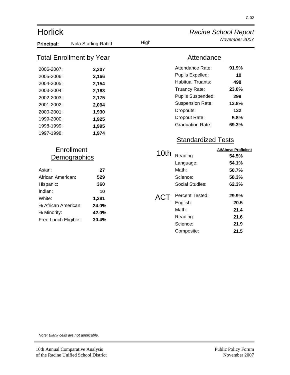| <b>Horlick</b>       |                                 |      | <b>Racine School Report</b> |                            |  |
|----------------------|---------------------------------|------|-----------------------------|----------------------------|--|
| Principal:           | Nola Starling-Ratliff           | High |                             | November 2007              |  |
|                      | <u>Total Enrollment by Year</u> |      | Attendance                  |                            |  |
| 2006-2007:           | 2,207                           |      | Attendance Rate:            | 91.9%                      |  |
| 2005-2006:           | 2,166                           |      | Pupils Expelled:            | 10                         |  |
| 2004-2005:           | 2,154                           |      | <b>Habitual Truants:</b>    | 498                        |  |
| 2003-2004:           | 2,163                           |      | Truancy Rate:               | 23.0%                      |  |
| 2002-2003:           | 2,175                           |      | Pupils Suspended:           | 299                        |  |
| 2001-2002:           | 2,094                           |      | <b>Suspension Rate:</b>     | 13.8%                      |  |
| 2000-2001:           | 1,930                           |      | Dropouts:                   | 132                        |  |
| 1999-2000:           | 1,925                           |      | Dropout Rate:               | 5.8%                       |  |
| 1998-1999:           | 1,995                           |      | <b>Graduation Rate:</b>     | 69.3%                      |  |
| 1997-1998:           | 1,974                           |      |                             |                            |  |
|                      |                                 |      | <b>Standardized Tests</b>   |                            |  |
| <b>Enrollment</b>    |                                 |      |                             | <b>At/Above Proficient</b> |  |
|                      | <u>Demographics</u>             | 10th | Reading:                    | 54.5%                      |  |
|                      |                                 |      | Language:                   | 54.1%                      |  |
| Asian:               | 27                              |      | Math:                       | 50.7%                      |  |
| African American:    | 529                             |      | Science:                    | 58.3%                      |  |
| Hispanic:            | 360                             |      | <b>Social Studies:</b>      | 62.3%                      |  |
| Indian:              | 10                              |      |                             |                            |  |
| White:               | 1,281                           | ACT  | Percent Tested:             | 29.9%                      |  |
| % African American:  | 24.0%                           |      | English:                    | 20.5                       |  |
| % Minority:          | 42.0%                           |      | Math:                       | 21.4                       |  |
| Free Lunch Eligible: | 30.4%                           |      | Reading:                    | 21.6                       |  |

Science: **21.9** Composite: **21.5**

> Public Policy Forum November 2007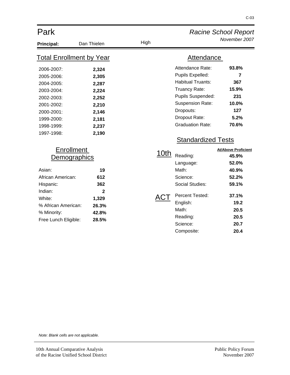| Park                                                                                                                                                                    |                                                                                        |             |                                                                                                                                                                                            | <b>Racine School Report</b>                                                                                              |
|-------------------------------------------------------------------------------------------------------------------------------------------------------------------------|----------------------------------------------------------------------------------------|-------------|--------------------------------------------------------------------------------------------------------------------------------------------------------------------------------------------|--------------------------------------------------------------------------------------------------------------------------|
| <b>Principal:</b>                                                                                                                                                       | Dan Thielen                                                                            | High        |                                                                                                                                                                                            | November 2007                                                                                                            |
| <b>Total Enrollment by Year</b>                                                                                                                                         |                                                                                        |             | Attendance                                                                                                                                                                                 |                                                                                                                          |
| 2006-2007:<br>2005-2006:<br>2004-2005:<br>2003-2004:<br>2002-2003:<br>2001-2002:<br>2000-2001:<br>1999-2000:<br>1998-1999:<br>1997-1998:                                | 2,324<br>2,305<br>2,287<br>2,224<br>2,252<br>2,210<br>2,146<br>2,181<br>2,237<br>2,190 |             | Attendance Rate:<br>Pupils Expelled:<br><b>Habitual Truants:</b><br>Truancy Rate:<br>Pupils Suspended:<br><b>Suspension Rate:</b><br>Dropouts:<br>Dropout Rate:<br><b>Graduation Rate:</b> | 93.8%<br>$\overline{7}$<br>367<br>15.9%<br>231<br>10.0%<br>127<br>5.2%<br>70.6%                                          |
| <b>Enrollment</b><br><u>Demographics</u><br>Asian:<br>African American:<br>Hispanic:<br>Indian:<br>White:<br>% African American:<br>% Minority:<br>Free Lunch Eligible: | 19<br>612<br>362<br>$\overline{2}$<br>1,329<br>26.3%<br>42.8%<br>28.5%                 | 10th<br>ACT | <b>Standardized Tests</b><br>Reading:<br>Language:<br>Math:<br>Science:<br>Social Studies:<br>Percent Tested:<br>English:<br>Math:<br>Reading:<br>Science:<br>Composite:                   | <b>At/Above Proficient</b><br>45.9%<br>52.0%<br>40.9%<br>52.2%<br>59.1%<br>37.1%<br>19.2<br>20.5<br>20.5<br>20.7<br>20.4 |

C-03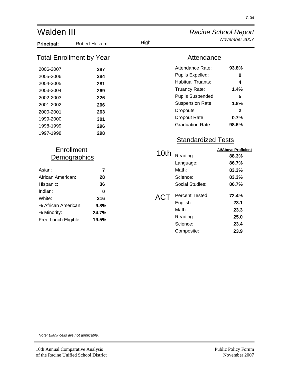| Walden III                                                                                                                               |                                                                    |             | <b>Racine School Report</b>                                                                                                                                                                |                                                                                          |  |  |
|------------------------------------------------------------------------------------------------------------------------------------------|--------------------------------------------------------------------|-------------|--------------------------------------------------------------------------------------------------------------------------------------------------------------------------------------------|------------------------------------------------------------------------------------------|--|--|
| Principal:                                                                                                                               | Robert Holzem                                                      | High        |                                                                                                                                                                                            | November 2007                                                                            |  |  |
|                                                                                                                                          | <u>Total Enrollment by Year</u>                                    |             | Attendance                                                                                                                                                                                 |                                                                                          |  |  |
| 2006-2007:<br>2005-2006:<br>2004-2005:<br>2003-2004:<br>2002-2003:<br>2001-2002:<br>2000-2001:<br>1999-2000:<br>1998-1999:<br>1997-1998: | 287<br>284<br>281<br>269<br>226<br>206<br>263<br>301<br>296<br>298 |             | Attendance Rate:<br>Pupils Expelled:<br><b>Habitual Truants:</b><br>Truancy Rate:<br>Pupils Suspended:<br><b>Suspension Rate:</b><br>Dropouts:<br>Dropout Rate:<br><b>Graduation Rate:</b> | 93.8%<br>$\bf{0}$<br>4<br>1.4%<br>5<br>1.8%<br>2<br>0.7%<br>98.6%                        |  |  |
| <b>Enrollment</b><br>Demographics<br>Asian:<br>African American:<br>Hispanic:<br>Indian:<br>White:<br>% African American:                | $\overline{7}$<br>28<br>36<br>$\bf{0}$<br>216<br>9.8%              | 10th<br>ACT | <b>Standardized Tests</b><br>Reading:<br>Language:<br>Math:<br>Science:<br><b>Social Studies:</b><br>Percent Tested:<br>English:                                                           | <b>At/Above Proficient</b><br>88.3%<br>86.7%<br>83.3%<br>83.3%<br>86.7%<br>72.4%<br>23.1 |  |  |
| % Minority:<br>Free Lunch Eligible:                                                                                                      | 24.7%<br>19.5%                                                     |             | Math:<br>Reading:<br>Science:<br>Composite:                                                                                                                                                | 23.3<br>25.0<br>23.4<br>23.9                                                             |  |  |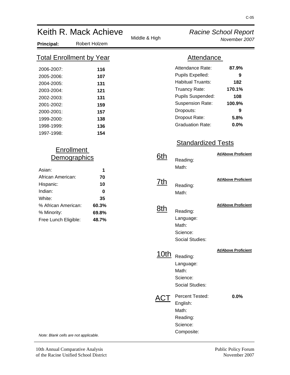| Keith R. Mack Achieve                                                                                                                    |                                                                    | <b>Racine School Report</b> |                                                                                                                                                                                            |                                                                   |
|------------------------------------------------------------------------------------------------------------------------------------------|--------------------------------------------------------------------|-----------------------------|--------------------------------------------------------------------------------------------------------------------------------------------------------------------------------------------|-------------------------------------------------------------------|
| <b>Principal:</b>                                                                                                                        | Robert Holzem                                                      | Middle & High               |                                                                                                                                                                                            | November 2007                                                     |
|                                                                                                                                          | <b>Total Enrollment by Year</b>                                    |                             | <b>Attendance</b>                                                                                                                                                                          |                                                                   |
| 2006-2007:<br>2005-2006:<br>2004-2005:<br>2003-2004:<br>2002-2003:<br>2001-2002:<br>2000-2001:<br>1999-2000:<br>1998-1999:<br>1997-1998: | 116<br>107<br>131<br>121<br>131<br>159<br>157<br>138<br>136<br>154 |                             | Attendance Rate:<br>Pupils Expelled:<br><b>Habitual Truants:</b><br>Truancy Rate:<br>Pupils Suspended:<br><b>Suspension Rate:</b><br>Dropouts:<br>Dropout Rate:<br><b>Graduation Rate:</b> | 87.9%<br>9<br>182<br>170.1%<br>108<br>100.9%<br>9<br>5.8%<br>0.0% |
|                                                                                                                                          |                                                                    |                             | <b>Standardized Tests</b>                                                                                                                                                                  |                                                                   |
| Asian:                                                                                                                                   | <b>Enrollment</b><br>Demographics<br>1                             | <u>6th</u>                  | Reading:<br>Math:                                                                                                                                                                          | <b>At/Above Proficient</b>                                        |
| African American:<br>Hispanic:<br>Indian:                                                                                                | 70<br>10<br>0                                                      | <u>7th</u>                  | Reading:<br>Math:                                                                                                                                                                          | <b>At/Above Proficient</b>                                        |
| White:<br>% African American:<br>% Minority:<br>Free Lunch Eligible:                                                                     | 35<br>60.3%<br>69.8%<br>48.7%                                      | <u>8th</u>                  | Reading:<br>Language:<br>Math:<br>Science:<br>Social Studies:                                                                                                                              | <b>At/Above Proficient</b>                                        |
|                                                                                                                                          |                                                                    | <u>10th</u>                 | Reading:<br>Language:<br>Math:<br>Science:<br>Social Studies:                                                                                                                              | <b>At/Above Proficient</b>                                        |
| Note: Blank cells are not applicable.                                                                                                    |                                                                    | ACT                         | Percent Tested:<br>English:<br>Math:<br>Reading:<br>Science:<br>Composite:                                                                                                                 | 0.0%                                                              |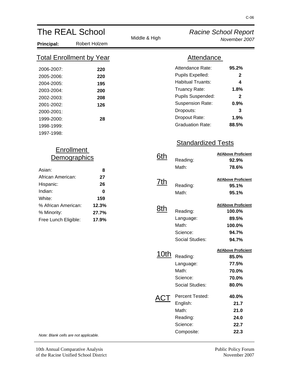| <b>The REAL School</b>                                                           |                                        |               |                                                                                                                                                | <b>Racine School Report</b>                                                |
|----------------------------------------------------------------------------------|----------------------------------------|---------------|------------------------------------------------------------------------------------------------------------------------------------------------|----------------------------------------------------------------------------|
| <b>Principal:</b>                                                                | Robert Holzem                          | Middle & High |                                                                                                                                                | November 2007                                                              |
| <b>Total Enrollment by Year</b>                                                  |                                        |               | <b>Attendance</b>                                                                                                                              |                                                                            |
| 2006-2007:<br>2005-2006:<br>2004-2005:<br>2003-2004:<br>2002-2003:<br>2001-2002: | 220<br>220<br>195<br>200<br>208<br>126 |               | Attendance Rate:<br>Pupils Expelled:<br><b>Habitual Truants:</b><br>Truancy Rate:<br>Pupils Suspended:<br><b>Suspension Rate:</b><br>Dropouts: | 95.2%<br>$\mathbf{2}$<br>4<br>1.8%<br>$\overline{\mathbf{2}}$<br>0.9%<br>3 |
| 2000-2001:<br>1999-2000:<br>1998-1999:<br>1997-1998:                             | 28                                     |               | Dropout Rate:<br><b>Graduation Rate:</b><br><b>Standardized Tests</b>                                                                          | 1.9%<br>88.5%                                                              |
| <b>Enrollment</b><br>Demographics<br>Asian:                                      | 8                                      | <u>6th</u>    | Reading:<br>Math:                                                                                                                              | <b>At/Above Proficient</b><br>92.9%<br>78.6%                               |
| African American:<br>Hispanic:<br>Indian:<br>White:                              | 27<br>26<br>$\bf{0}$<br>159            | <u>7th</u>    | Reading:<br>Math:                                                                                                                              | <b>At/Above Proficient</b><br>95.1%<br>95.1%                               |
| % African American:<br>% Minority:<br>Free Lunch Eligible:                       | 12.3%<br>27.7%<br>17.9%                | <u>8th</u>    | Reading:<br>Language:<br>Math:<br>Science:<br><b>Social Studies:</b>                                                                           | <b>At/Above Proficient</b><br>100.0%<br>89.5%<br>100.0%<br>94.7%<br>94.7%  |
|                                                                                  |                                        | <u>10th</u>   | Reading:<br>Language:<br>Math:<br>Science:<br>Social Studies:                                                                                  | <b>At/Above Proficient</b><br>85.0%<br>77.5%<br>70.0%<br>70.0%<br>80.0%    |
| Note: Blank cells are not applicable.                                            |                                        |               | Percent Tested:<br>English:<br>Math:<br>Reading:<br>Science:<br>Composite:                                                                     | 40.0%<br>21.7<br>21.0<br>24.0<br>22.7<br>22.3                              |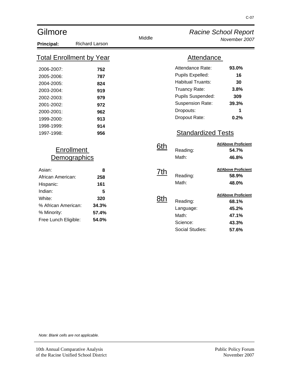| Gilmore                                                                                                                                  |                                                                    |            |                                                                                                                                                                                              | <b>Racine School Report</b>                                             |
|------------------------------------------------------------------------------------------------------------------------------------------|--------------------------------------------------------------------|------------|----------------------------------------------------------------------------------------------------------------------------------------------------------------------------------------------|-------------------------------------------------------------------------|
| Principal:                                                                                                                               | <b>Richard Larson</b>                                              | Middle     |                                                                                                                                                                                              | November 2007                                                           |
| <u>Total Enrollment by Year</u>                                                                                                          |                                                                    |            | Attendance                                                                                                                                                                                   |                                                                         |
| 2006-2007:<br>2005-2006:<br>2004-2005:<br>2003-2004:<br>2002-2003:<br>2001-2002:<br>2000-2001:<br>1999-2000:<br>1998-1999:<br>1997-1998: | 752<br>787<br>824<br>919<br>979<br>972<br>962<br>913<br>914<br>956 |            | Attendance Rate:<br>Pupils Expelled:<br><b>Habitual Truants:</b><br>Truancy Rate:<br>Pupils Suspended:<br><b>Suspension Rate:</b><br>Dropouts:<br>Dropout Rate:<br><b>Standardized Tests</b> | 93.0%<br>16<br>30<br>3.8%<br>309<br>39.3%<br>1<br>0.2%                  |
| <b>Enrollment</b><br><u>Demographics</u>                                                                                                 |                                                                    | <u>6th</u> | Reading:<br>Math:                                                                                                                                                                            | <b>At/Above Proficient</b><br>54.7%<br>46.8%                            |
| Asian:<br>African American:<br>Hispanic:<br>Indian:                                                                                      | 8<br>258<br>161<br>5                                               | 7th        | Reading:<br>Math:                                                                                                                                                                            | <b>At/Above Proficient</b><br>58.9%<br>48.0%                            |
| White:<br>% African American:<br>% Minority:<br>Free Lunch Eligible:                                                                     | 320<br>34.3%<br>57.4%<br>54.0%                                     | 8th        | Reading:<br>Language:<br>Math:<br>Science:<br><b>Social Studies:</b>                                                                                                                         | <b>At/Above Proficient</b><br>68.1%<br>45.2%<br>47.1%<br>43.3%<br>57.6% |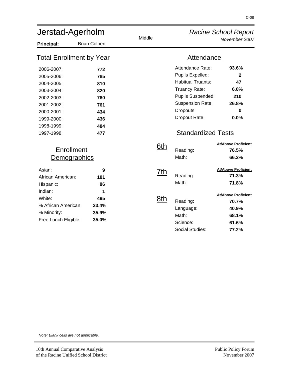| Jerstad-Agerholm                                                                                                                         |                                                                    |            |                                                                                                                                                                                              | <b>Racine School Report</b>                                                |
|------------------------------------------------------------------------------------------------------------------------------------------|--------------------------------------------------------------------|------------|----------------------------------------------------------------------------------------------------------------------------------------------------------------------------------------------|----------------------------------------------------------------------------|
| Principal:                                                                                                                               | <b>Brian Colbert</b>                                               | Middle     |                                                                                                                                                                                              | November 2007                                                              |
| <b>Total Enrollment by Year</b>                                                                                                          |                                                                    |            | <b>Attendance</b>                                                                                                                                                                            |                                                                            |
| 2006-2007:<br>2005-2006:<br>2004-2005:<br>2003-2004:<br>2002-2003:<br>2001-2002:<br>2000-2001:<br>1999-2000:<br>1998-1999:<br>1997-1998: | 772<br>785<br>810<br>820<br>760<br>761<br>434<br>436<br>484<br>477 |            | Attendance Rate:<br>Pupils Expelled:<br><b>Habitual Truants:</b><br>Truancy Rate:<br>Pupils Suspended:<br><b>Suspension Rate:</b><br>Dropouts:<br>Dropout Rate:<br><b>Standardized Tests</b> | 93.6%<br>$\mathbf{2}$<br>47<br>6.0%<br>210<br>26.8%<br>$\bf{0}$<br>0.0%    |
| <b>Enrollment</b><br><b>Demographics</b>                                                                                                 |                                                                    | 6th        | Reading:<br>Math:                                                                                                                                                                            | <b>At/Above Proficient</b><br>76.5%<br>66.2%                               |
| Asian:<br>African American:<br>Hispanic:<br>Indian:<br>White:                                                                            | 9<br>181<br>86<br>1<br>495                                         | 7th<br>8th | Reading:<br>Math:                                                                                                                                                                            | <b>At/Above Proficient</b><br>71.3%<br>71.8%<br><b>At/Above Proficient</b> |
| % African American:<br>% Minority:<br>Free Lunch Eligible:                                                                               | 23.4%<br>35.9%<br>35.0%                                            |            | Reading:<br>Language:<br>Math:<br>Science:<br>Social Studies:                                                                                                                                | 70.7%<br>40.9%<br>68.1%<br>61.6%<br>77.2%                                  |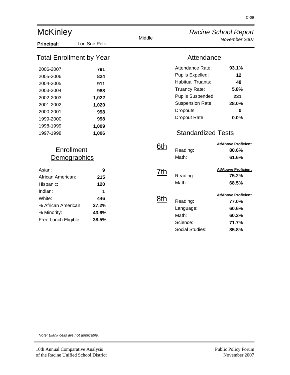| <b>McKinley</b>                                                                                                                          |                                                                            |        | <b>Racine School Report</b>                                                                                                                                                                  |                                                                         |
|------------------------------------------------------------------------------------------------------------------------------------------|----------------------------------------------------------------------------|--------|----------------------------------------------------------------------------------------------------------------------------------------------------------------------------------------------|-------------------------------------------------------------------------|
| Principal:                                                                                                                               | Lori Sue Pelk                                                              | Middle |                                                                                                                                                                                              | November 2007                                                           |
| <b>Total Enrollment by Year</b>                                                                                                          |                                                                            |        | Attendance                                                                                                                                                                                   |                                                                         |
| 2006-2007:<br>2005-2006:<br>2004-2005:<br>2003-2004:<br>2002-2003:<br>2001-2002:<br>2000-2001:<br>1999-2000:<br>1998-1999:<br>1997-1998: | 791<br>824<br>911<br>988<br>1,022<br>1,020<br>998<br>998<br>1,009<br>1,006 |        | Attendance Rate:<br>Pupils Expelled:<br><b>Habitual Truants:</b><br>Truancy Rate:<br>Pupils Suspended:<br><b>Suspension Rate:</b><br>Dropouts:<br>Dropout Rate:<br><b>Standardized Tests</b> | 93.1%<br>12<br>48<br>5.8%<br>231<br>28.0%<br>$\bf{0}$<br>0.0%           |
| <b>Enrollment</b><br><u>Demographics</u>                                                                                                 |                                                                            | 6th    | Reading:<br>Math:                                                                                                                                                                            | <b>At/Above Proficient</b><br>80.6%<br>61.6%                            |
| Asian:<br>African American:<br>Hispanic:<br>Indian:                                                                                      | 9<br>215<br>120<br>1                                                       | 7th    | Reading:<br>Math:                                                                                                                                                                            | <b>At/Above Proficient</b><br>75.2%<br>68.5%                            |
| White:<br>% African American:<br>% Minority:<br>Free Lunch Eligible:                                                                     | 446<br>27.2%<br>43.6%<br>38.5%                                             | 8th    | Reading:<br>Language:<br>Math:<br>Science:<br><b>Social Studies:</b>                                                                                                                         | <b>At/Above Proficient</b><br>77.0%<br>60.6%<br>60.2%<br>71.7%<br>85.8% |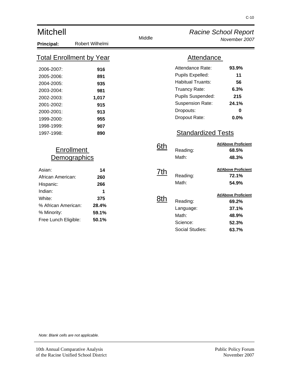| <b>Mitchell</b>                                                                                                                          |                                                                      |            | <b>Racine School Report</b>                                                                                                                                                                  |                                                                         |
|------------------------------------------------------------------------------------------------------------------------------------------|----------------------------------------------------------------------|------------|----------------------------------------------------------------------------------------------------------------------------------------------------------------------------------------------|-------------------------------------------------------------------------|
| Principal:                                                                                                                               | Robert Wilhelmi                                                      | Middle     |                                                                                                                                                                                              | November 2007                                                           |
| <b>Total Enrollment by Year</b>                                                                                                          |                                                                      |            | Attendance                                                                                                                                                                                   |                                                                         |
| 2006-2007:<br>2005-2006:<br>2004-2005:<br>2003-2004:<br>2002-2003:<br>2001-2002:<br>2000-2001:<br>1999-2000:<br>1998-1999:<br>1997-1998: | 916<br>891<br>935<br>981<br>1,017<br>915<br>913<br>955<br>907<br>890 |            | Attendance Rate:<br>Pupils Expelled:<br><b>Habitual Truants:</b><br>Truancy Rate:<br>Pupils Suspended:<br><b>Suspension Rate:</b><br>Dropouts:<br>Dropout Rate:<br><b>Standardized Tests</b> | 93.9%<br>11<br>56<br>6.3%<br>215<br>24.1%<br>0<br>0.0%                  |
| <b>Enrollment</b><br><u>Demographics</u>                                                                                                 |                                                                      | <u>6th</u> | Reading:<br>Math:                                                                                                                                                                            | <b>At/Above Proficient</b><br>68.5%<br>48.3%                            |
| Asian:<br>African American:<br>Hispanic:<br>Indian:                                                                                      | 14<br>260<br>266<br>1                                                | 7th        | Reading:<br>Math:                                                                                                                                                                            | <b>At/Above Proficient</b><br>72.1%<br>54.9%                            |
| White:<br>% African American:<br>% Minority:<br>Free Lunch Eligible:                                                                     | 375<br>28.4%<br>59.1%<br>50.1%                                       | 8th        | Reading:<br>Language:<br>Math:<br>Science:<br><b>Social Studies:</b>                                                                                                                         | <b>At/Above Proficient</b><br>69.2%<br>37.1%<br>48.9%<br>52.3%<br>63.7% |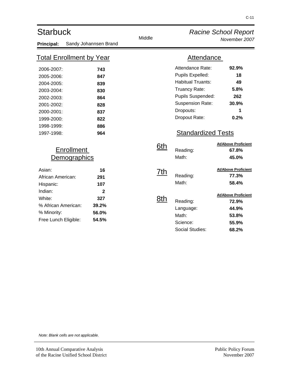| <b>Starbuck</b>                                                                                                                          |                                                                    | Middle                   |                                                                                                                                                                                              | <b>Racine School Report</b>                                                                                             |
|------------------------------------------------------------------------------------------------------------------------------------------|--------------------------------------------------------------------|--------------------------|----------------------------------------------------------------------------------------------------------------------------------------------------------------------------------------------|-------------------------------------------------------------------------------------------------------------------------|
| Principal:                                                                                                                               | Sandy Johannsen Brand                                              |                          |                                                                                                                                                                                              | November 2007                                                                                                           |
|                                                                                                                                          | <u>Total Enrollment by Year</u>                                    |                          | Attendance                                                                                                                                                                                   |                                                                                                                         |
| 2006-2007:<br>2005-2006:<br>2004-2005:<br>2003-2004:<br>2002-2003:<br>2001-2002:<br>2000-2001:<br>1999-2000:<br>1998-1999:<br>1997-1998: | 743<br>847<br>839<br>830<br>864<br>828<br>837<br>822<br>886<br>964 |                          | Attendance Rate:<br>Pupils Expelled:<br><b>Habitual Truants:</b><br>Truancy Rate:<br>Pupils Suspended:<br><b>Suspension Rate:</b><br>Dropouts:<br>Dropout Rate:<br><b>Standardized Tests</b> | 92.9%<br>18<br>49<br>5.8%<br>262<br>30.9%<br>1<br>0.2%                                                                  |
|                                                                                                                                          | <b>Enrollment</b><br><b>Demographics</b>                           | <u>6th</u>               | Reading:<br>Math:                                                                                                                                                                            | <b>At/Above Proficient</b><br>67.8%<br>45.0%                                                                            |
| Asian:<br>African American:<br>Hispanic:<br>Indian:<br>White:<br>% African American:<br>% Minority:<br>Free Lunch Eligible:              | 16<br>291<br>107<br>2<br>327<br>39.2%<br>56.0%<br>54.5%            | <u>7th</u><br><u>8th</u> | Reading:<br>Math:<br>Reading:<br>Language:<br>Math:<br>Science:<br><b>Social Studies:</b>                                                                                                    | <b>At/Above Proficient</b><br>77.3%<br>58.4%<br><b>At/Above Proficient</b><br>72.9%<br>44.9%<br>53.8%<br>55.9%<br>68.2% |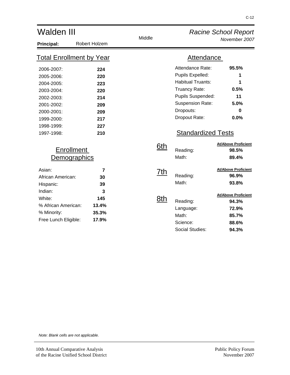| <b>Walden III</b>                                                                                                                        |                                                                    |            | <b>Racine School Report</b>                                                                                                                                                                  |                                                                         |
|------------------------------------------------------------------------------------------------------------------------------------------|--------------------------------------------------------------------|------------|----------------------------------------------------------------------------------------------------------------------------------------------------------------------------------------------|-------------------------------------------------------------------------|
| Principal:                                                                                                                               | Robert Holzem                                                      | Middle     |                                                                                                                                                                                              | November 2007                                                           |
| <u>Total Enrollment by Year</u>                                                                                                          |                                                                    |            | <b>Attendance</b>                                                                                                                                                                            |                                                                         |
| 2006-2007:<br>2005-2006:<br>2004-2005:<br>2003-2004:<br>2002-2003:<br>2001-2002:<br>2000-2001:<br>1999-2000:<br>1998-1999:<br>1997-1998: | 224<br>220<br>223<br>220<br>214<br>209<br>209<br>217<br>227<br>210 |            | Attendance Rate:<br>Pupils Expelled:<br><b>Habitual Truants:</b><br>Truancy Rate:<br>Pupils Suspended:<br><b>Suspension Rate:</b><br>Dropouts:<br>Dropout Rate:<br><b>Standardized Tests</b> | 95.5%<br>1<br>1<br>0.5%<br>11<br>5.0%<br>$\bf{0}$<br>0.0%               |
| Enrollment<br><u>Demographics</u>                                                                                                        |                                                                    | <u>6th</u> | Reading:<br>Math:                                                                                                                                                                            | <b>At/Above Proficient</b><br>98.5%<br>89.4%                            |
| Asian:<br>African American:<br>Hispanic:<br>Indian:                                                                                      | $\overline{7}$<br>30<br>39<br>3                                    | 7th        | Reading:<br>Math:                                                                                                                                                                            | <b>At/Above Proficient</b><br>96.9%<br>93.8%                            |
| White:<br>% African American:<br>% Minority:<br>Free Lunch Eligible:                                                                     | 145<br>13.4%<br>35.3%<br>17.9%                                     | 8th        | Reading:<br>Language:<br>Math:<br>Science:<br><b>Social Studies:</b>                                                                                                                         | <b>At/Above Proficient</b><br>94.3%<br>72.9%<br>85.7%<br>88.6%<br>94.3% |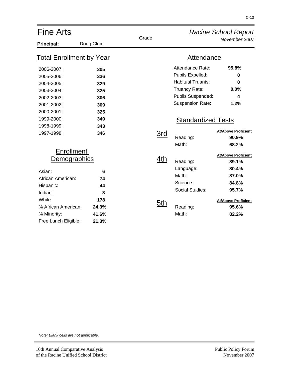| <b>Fine Arts</b>                                                                                                                                                 |                                                             |                   | <b>Racine School Report</b>                                                                                                                                    |                                                                                                                         |
|------------------------------------------------------------------------------------------------------------------------------------------------------------------|-------------------------------------------------------------|-------------------|----------------------------------------------------------------------------------------------------------------------------------------------------------------|-------------------------------------------------------------------------------------------------------------------------|
| Principal:                                                                                                                                                       | Doug Clum                                                   | Grade             |                                                                                                                                                                | November 2007                                                                                                           |
| <u>Total Enrollment by Year</u>                                                                                                                                  |                                                             |                   | <b>Attendance</b>                                                                                                                                              |                                                                                                                         |
| 2006-2007:<br>2005-2006:<br>2004-2005:<br>2003-2004:<br>2002-2003:<br>2001-2002:<br>2000-2001:<br>1999-2000:<br>1998-1999:                                       | 305<br>336<br>329<br>325<br>306<br>309<br>325<br>349<br>343 |                   | Attendance Rate:<br>Pupils Expelled:<br><b>Habitual Truants:</b><br>Truancy Rate:<br>Pupils Suspended:<br><b>Suspension Rate:</b><br><b>Standardized Tests</b> | 95.8%<br>0<br>0<br>0.0%<br>4<br>1.2%                                                                                    |
| 1997-1998:                                                                                                                                                       | 346                                                         | 3rd               | Reading:<br>Math:                                                                                                                                              | <b>At/Above Proficient</b><br>90.9%<br>68.2%                                                                            |
| <b>Enrollment</b><br>Demographics<br>Asian:<br>African American:<br>Hispanic:<br>Indian:<br>White:<br>% African American:<br>% Minority:<br>Free Lunch Eligible: | 6<br>74<br>44<br>3<br>178<br>24.3%<br>41.6%<br>21.3%        | 4th<br><u>5th</u> | Reading:<br>Language:<br>Math:<br>Science:<br>Social Studies:<br>Reading:<br>Math:                                                                             | <b>At/Above Proficient</b><br>89.1%<br>80.4%<br>87.0%<br>84.8%<br>95.7%<br><b>At/Above Proficient</b><br>95.6%<br>82.2% |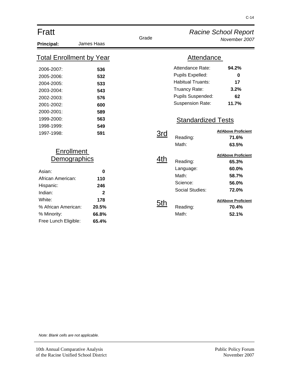| Fratt                                                                                                                                                                   |                                                                          |            |                                                                                                                                                                | <b>Racine School Report</b>                                                                                             |
|-------------------------------------------------------------------------------------------------------------------------------------------------------------------------|--------------------------------------------------------------------------|------------|----------------------------------------------------------------------------------------------------------------------------------------------------------------|-------------------------------------------------------------------------------------------------------------------------|
| Principal:                                                                                                                                                              | James Haas                                                               | Grade      |                                                                                                                                                                | November 2007                                                                                                           |
| <b>Total Enrollment by Year</b>                                                                                                                                         |                                                                          |            | <b>Attendance</b>                                                                                                                                              |                                                                                                                         |
| 2006-2007:<br>2005-2006:<br>2004-2005:<br>2003-2004:<br>2002-2003:<br>2001-2002:<br>2000-2001:<br>1999-2000:                                                            | 536<br>532<br>533<br>543<br>576<br>600<br>589<br>563                     |            | Attendance Rate:<br>Pupils Expelled:<br><b>Habitual Truants:</b><br>Truancy Rate:<br>Pupils Suspended:<br><b>Suspension Rate:</b><br><b>Standardized Tests</b> | 94.2%<br>0<br>17<br>3.2%<br>62<br>11.7%                                                                                 |
| 1998-1999:<br>1997-1998:                                                                                                                                                | 549<br>591                                                               | 3rd        | Reading:<br>Math:                                                                                                                                              | <b>At/Above Proficient</b><br>71.6%<br>63.5%                                                                            |
| <b>Enrollment</b><br><b>Demographics</b><br>Asian:<br>African American:<br>Hispanic:<br>Indian:<br>White:<br>% African American:<br>% Minority:<br>Free Lunch Eligible: | $\bf{0}$<br>110<br>246<br>$\mathbf{2}$<br>178<br>20.5%<br>66.8%<br>65.4% | 4th<br>5th | Reading:<br>Language:<br>Math:<br>Science:<br><b>Social Studies:</b><br>Reading:<br>Math:                                                                      | <b>At/Above Proficient</b><br>65.3%<br>60.0%<br>58.7%<br>56.0%<br>72.0%<br><b>At/Above Proficient</b><br>70.4%<br>52.1% |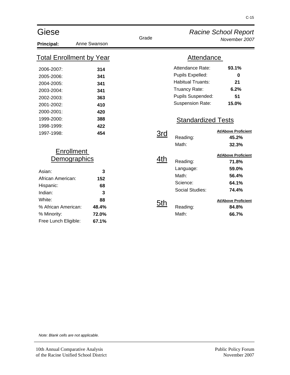| Giese                                                                                                                                                                   |                                                      | Grade      |                                                                                                                                                                | <b>Racine School Report</b>                                                                                             |
|-------------------------------------------------------------------------------------------------------------------------------------------------------------------------|------------------------------------------------------|------------|----------------------------------------------------------------------------------------------------------------------------------------------------------------|-------------------------------------------------------------------------------------------------------------------------|
| <b>Principal:</b>                                                                                                                                                       | Anne Swanson                                         |            |                                                                                                                                                                | November 2007                                                                                                           |
| <b>Total Enrollment by Year</b>                                                                                                                                         |                                                      |            | <b>Attendance</b>                                                                                                                                              |                                                                                                                         |
| 2006-2007:<br>2005-2006:<br>2004-2005:<br>2003-2004:<br>2002-2003:<br>2001-2002:<br>2000-2001:<br>1999-2000:                                                            | 314<br>341<br>341<br>341<br>363<br>410<br>420<br>388 |            | Attendance Rate:<br>Pupils Expelled:<br><b>Habitual Truants:</b><br>Truancy Rate:<br>Pupils Suspended:<br><b>Suspension Rate:</b><br><b>Standardized Tests</b> | 93.1%<br>0<br>21<br>6.2%<br>51<br>15.0%                                                                                 |
| 1998-1999:<br>1997-1998:                                                                                                                                                | 422<br>454                                           | 3rd        | Reading:<br>Math:                                                                                                                                              | <b>At/Above Proficient</b><br>45.2%<br>32.3%                                                                            |
| <b>Enrollment</b><br><b>Demographics</b><br>Asian:<br>African American:<br>Hispanic:<br>Indian:<br>White:<br>% African American:<br>% Minority:<br>Free Lunch Eligible: | 3<br>152<br>68<br>3<br>88<br>48.4%<br>72.0%<br>67.1% | 4th<br>5th | Reading:<br>Language:<br>Math:<br>Science:<br><b>Social Studies:</b><br>Reading:<br>Math:                                                                      | <b>At/Above Proficient</b><br>71.8%<br>59.0%<br>56.4%<br>64.1%<br>74.4%<br><b>At/Above Proficient</b><br>84.8%<br>66.7% |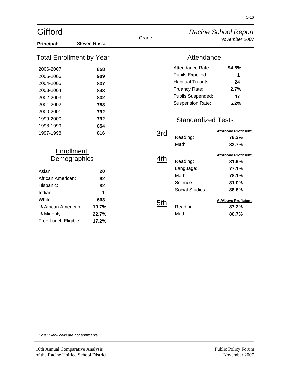| Gifford                                                                                                                                                          |                                                       |            |                                                                                                                                                         | <b>Racine School Report</b>                                                                                             |
|------------------------------------------------------------------------------------------------------------------------------------------------------------------|-------------------------------------------------------|------------|---------------------------------------------------------------------------------------------------------------------------------------------------------|-------------------------------------------------------------------------------------------------------------------------|
| Principal:                                                                                                                                                       | <b>Steven Russo</b>                                   | Grade      |                                                                                                                                                         | November 2007                                                                                                           |
| <b>Total Enrollment by Year</b>                                                                                                                                  |                                                       |            | Attendance                                                                                                                                              |                                                                                                                         |
| 2006-2007:<br>2005-2006:<br>2004-2005:<br>2003-2004:<br>2002-2003:<br>2001-2002:<br>2000-2001:<br>1999-2000:                                                     | 858<br>909<br>837<br>843<br>832<br>788<br>792<br>792  |            | Attendance Rate:<br>Pupils Expelled:<br><b>Habitual Truants:</b><br>Truancy Rate:<br>Pupils Suspended:<br>Suspension Rate:<br><b>Standardized Tests</b> | 94.6%<br>1<br>24<br>2.7%<br>47<br>5.2%                                                                                  |
| 1998-1999:<br>1997-1998:                                                                                                                                         | 854<br>816                                            | 3rd        | Reading:<br>Math:                                                                                                                                       | <b>At/Above Proficient</b><br>78.2%<br>82.7%                                                                            |
| <b>Enrollment</b><br>Demographics<br>Asian:<br>African American:<br>Hispanic:<br>Indian:<br>White:<br>% African American:<br>% Minority:<br>Free Lunch Eligible: | 20<br>92<br>82<br>1<br>663<br>10.7%<br>22.7%<br>17.2% | 4th<br>5th | Reading:<br>Language:<br>Math:<br>Science:<br><b>Social Studies:</b><br>Reading:<br>Math:                                                               | <b>At/Above Proficient</b><br>81.9%<br>77.1%<br>78.1%<br>81.0%<br>88.6%<br><b>At/Above Proficient</b><br>87.2%<br>80.7% |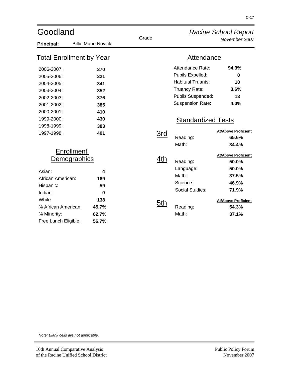| Goodland                                                                                                                                                         |                                                       |            |                                                                                                                                                                | <b>Racine School Report</b>                                                                                             |
|------------------------------------------------------------------------------------------------------------------------------------------------------------------|-------------------------------------------------------|------------|----------------------------------------------------------------------------------------------------------------------------------------------------------------|-------------------------------------------------------------------------------------------------------------------------|
| Principal:                                                                                                                                                       | <b>Billie Marie Novick</b>                            | Grade      |                                                                                                                                                                | November 2007                                                                                                           |
| <u>Total Enrollment by Year</u>                                                                                                                                  |                                                       |            | <b>Attendance</b>                                                                                                                                              |                                                                                                                         |
| 2006-2007:<br>2005-2006:<br>2004-2005:<br>2003-2004:<br>2002-2003:<br>2001-2002:<br>2000-2001:<br>1999-2000:                                                     | 370<br>321<br>341<br>352<br>376<br>385<br>410<br>430  |            | Attendance Rate:<br>Pupils Expelled:<br><b>Habitual Truants:</b><br>Truancy Rate:<br>Pupils Suspended:<br><b>Suspension Rate:</b><br><b>Standardized Tests</b> | 94.3%<br>0<br>10<br>3.6%<br>13<br>4.0%                                                                                  |
| 1998-1999:<br>1997-1998:                                                                                                                                         | 383<br>401                                            | <u>3rd</u> | Reading:<br>Math:                                                                                                                                              | <b>At/Above Proficient</b><br>65.6%<br>34.4%                                                                            |
| <b>Enrollment</b><br>Demographics<br>Asian:<br>African American:<br>Hispanic:<br>Indian:<br>White:<br>% African American:<br>% Minority:<br>Free Lunch Eligible: | 4<br>169<br>59<br>0<br>138<br>45.7%<br>62.7%<br>56.7% | 4th<br>5th | Reading:<br>Language:<br>Math:<br>Science:<br>Social Studies:<br>Reading:<br>Math:                                                                             | <b>At/Above Proficient</b><br>50.0%<br>50.0%<br>37.5%<br>46.9%<br>71.9%<br><b>At/Above Proficient</b><br>54.3%<br>37.1% |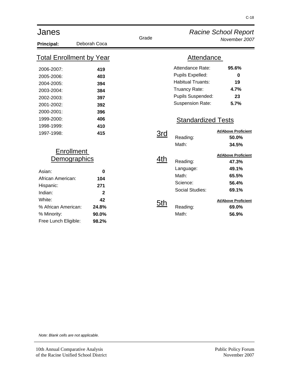| Janes                                                                                                                                                            |                                                                  |            |                                                                                                                                          | <b>Racine School Report</b>                                                                                             |
|------------------------------------------------------------------------------------------------------------------------------------------------------------------|------------------------------------------------------------------|------------|------------------------------------------------------------------------------------------------------------------------------------------|-------------------------------------------------------------------------------------------------------------------------|
| <b>Principal:</b>                                                                                                                                                | Deborah Coca                                                     | Grade      |                                                                                                                                          | November 2007                                                                                                           |
| <b>Total Enrollment by Year</b>                                                                                                                                  |                                                                  |            | <b>Attendance</b>                                                                                                                        |                                                                                                                         |
| 2006-2007:<br>2005-2006:<br>2004-2005:<br>2003-2004:<br>2002-2003:<br>2001-2002:<br>2000-2001:                                                                   | 419<br>403<br>394<br>384<br>397<br>392<br>396                    |            | Attendance Rate:<br>Pupils Expelled:<br><b>Habitual Truants:</b><br><b>Truancy Rate:</b><br>Pupils Suspended:<br><b>Suspension Rate:</b> | 95.6%<br>$\bf{0}$<br>19<br>4.7%<br>23<br>5.7%                                                                           |
| 1999-2000:<br>1998-1999:<br>1997-1998:                                                                                                                           | 406<br>410<br>415                                                | <u>3rd</u> | <b>Standardized Tests</b><br>Reading:<br>Math:                                                                                           | <b>At/Above Proficient</b><br>50.0%<br>34.5%                                                                            |
| <b>Enrollment</b><br>Demographics<br>Asian:<br>African American:<br>Hispanic:<br>Indian:<br>White:<br>% African American:<br>% Minority:<br>Free Lunch Eligible: | 0<br>104<br>271<br>$\mathbf{2}$<br>42<br>24.8%<br>90.0%<br>98.2% | 4th<br>5th | Reading:<br>Language:<br>Math:<br>Science:<br><b>Social Studies:</b><br>Reading:<br>Math:                                                | <b>At/Above Proficient</b><br>47.3%<br>49.1%<br>65.5%<br>56.4%<br>69.1%<br><b>At/Above Proficient</b><br>69.0%<br>56.9% |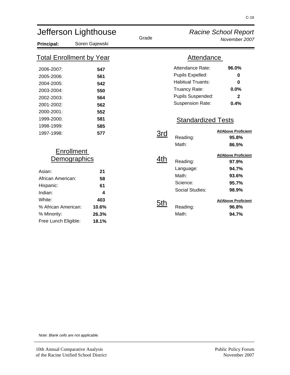| Jefferson Lighthouse                                                                                                                                                    |                                                                    | Grade      |                                                                                                                                                                            | <b>Racine School Report</b>                                                                                                      |
|-------------------------------------------------------------------------------------------------------------------------------------------------------------------------|--------------------------------------------------------------------|------------|----------------------------------------------------------------------------------------------------------------------------------------------------------------------------|----------------------------------------------------------------------------------------------------------------------------------|
| <b>Principal:</b>                                                                                                                                                       | Soren Gajewski                                                     |            |                                                                                                                                                                            | November 2007                                                                                                                    |
| <u>Total Enrollment by Year</u>                                                                                                                                         |                                                                    |            | <b>Attendance</b>                                                                                                                                                          |                                                                                                                                  |
| 2006-2007:<br>2005-2006:<br>2004-2005:<br>2003-2004:<br>2002-2003:<br>2001-2002:<br>2000-2001:<br>1999-2000:<br>1998-1999:<br>1997-1998:                                | 547<br>561<br>542<br>550<br>564<br>562<br>552<br>581<br>585<br>577 | <u>3rd</u> | Attendance Rate:<br>Pupils Expelled:<br><b>Habitual Truants:</b><br>Truancy Rate:<br>Pupils Suspended:<br><b>Suspension Rate:</b><br><b>Standardized Tests</b><br>Reading: | 96.0%<br>0<br>0<br>0.0%<br>$\mathbf{2}$<br>0.4%<br><b>At/Above Proficient</b><br>95.8%                                           |
| <b>Enrollment</b><br><b>Demographics</b><br>Asian:<br>African American:<br>Hispanic:<br>Indian:<br>White:<br>% African American:<br>% Minority:<br>Free Lunch Eligible: | 21<br>58<br>61<br>4<br>403<br>10.6%<br>26.3%<br>18.1%              | 4th<br>5th | Math:<br>Reading:<br>Language:<br>Math:<br>Science:<br><b>Social Studies:</b><br>Reading:<br>Math:                                                                         | 86.5%<br><b>At/Above Proficient</b><br>97.9%<br>94.7%<br>93.6%<br>95.7%<br>98.9%<br><b>At/Above Proficient</b><br>96.8%<br>94.7% |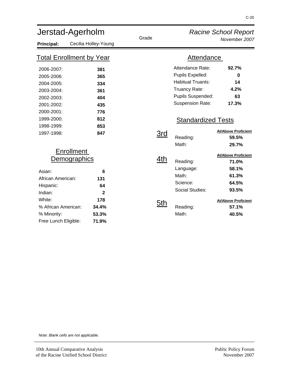| Jerstad-Agerholm                                                                                                           |                                                                                              | Grade             |                                                                                                                                                                | <b>Racine School Report</b>                                                                                    |
|----------------------------------------------------------------------------------------------------------------------------|----------------------------------------------------------------------------------------------|-------------------|----------------------------------------------------------------------------------------------------------------------------------------------------------------|----------------------------------------------------------------------------------------------------------------|
| Principal:                                                                                                                 | Cecilia Holley-Young                                                                         |                   |                                                                                                                                                                | November 2007                                                                                                  |
| <b>Total Enrollment by Year</b>                                                                                            |                                                                                              |                   | <b>Attendance</b>                                                                                                                                              |                                                                                                                |
| 2006-2007:<br>2005-2006:<br>2004-2005:<br>2003-2004:<br>2002-2003:<br>2001-2002:<br>2000-2001:<br>1999-2000:<br>1998-1999: | 381<br>365<br>334<br>361<br>404<br>435<br>776<br>812<br>853                                  |                   | Attendance Rate:<br>Pupils Expelled:<br><b>Habitual Truants:</b><br>Truancy Rate:<br>Pupils Suspended:<br><b>Suspension Rate:</b><br><b>Standardized Tests</b> | 92.7%<br>0<br>14<br>4.2%<br>63<br>17.3%                                                                        |
| 1997-1998:                                                                                                                 | 847                                                                                          | 3rd               | Reading:<br>Math:                                                                                                                                              | <b>At/Above Proficient</b><br>59.5%<br>29.7%                                                                   |
| Asian:<br>African American:<br>Hispanic:<br>Indian:<br>White:<br>% African American:                                       | <b>Enrollment</b><br><b>Demographics</b><br>6<br>131<br>64<br>$\overline{2}$<br>178<br>34.4% | 4th<br><u>5th</u> | Reading:<br>Language:<br>Math:<br>Science:<br><b>Social Studies:</b><br>Reading:                                                                               | <b>At/Above Proficient</b><br>71.0%<br>58.1%<br>61.3%<br>64.5%<br>93.5%<br><b>At/Above Proficient</b><br>57.1% |
| % Minority:<br>Free Lunch Eligible:                                                                                        | 53.3%<br>71.9%                                                                               |                   | Math:                                                                                                                                                          | 40.5%                                                                                                          |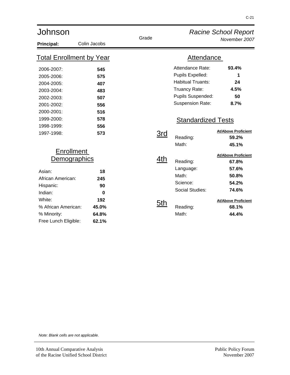| Johnson                         |              |            |                           | <b>Racine School Report</b> |
|---------------------------------|--------------|------------|---------------------------|-----------------------------|
| Principal:                      | Colin Jacobs | Grade      |                           | November 2007               |
| <b>Total Enrollment by Year</b> |              |            | <b>Attendance</b>         |                             |
| 2006-2007:                      | 545          |            | Attendance Rate:          | 93.4%                       |
| 2005-2006:                      | 575          |            | Pupils Expelled:          | 1                           |
| 2004-2005:                      | 407          |            | <b>Habitual Truants:</b>  | 24                          |
| 2003-2004:                      | 483          |            | Truancy Rate:             | 4.5%                        |
| 2002-2003:                      | 507          |            | Pupils Suspended:         | 50                          |
| 2001-2002:                      | 556          |            | <b>Suspension Rate:</b>   | 8.7%                        |
| 2000-2001:                      | 516          |            |                           |                             |
| 1999-2000:                      | 578          |            | <b>Standardized Tests</b> |                             |
| 1998-1999:                      | 556          |            |                           |                             |
| 1997-1998:                      | 573          | <u>3rd</u> |                           | <b>At/Above Proficient</b>  |
|                                 |              |            | Reading:                  | 59.2%                       |
|                                 |              |            | Math:                     | 45.1%                       |
| <b>Enrollment</b>               |              |            |                           | <b>At/Above Proficient</b>  |
| <b>Demographics</b>             |              | 4th        | Reading:                  | 67.8%                       |
| Asian:                          | 18           |            | Language:                 | 57.6%                       |
| African American:               | 245          |            | Math:                     | 50.8%                       |
| Hispanic:                       | 90           |            | Science:                  | 54.2%                       |
| Indian:                         | $\bf{0}$     |            | Social Studies:           | 74.6%                       |
| White:                          | 192          |            |                           | <b>At/Above Proficient</b>  |
| % African American:             | 45.0%        | 5th        | Reading:                  | 68.1%                       |
| % Minority:                     | 64.8%        |            | Math:                     | 44.4%                       |
| Free Lunch Eligible:            | 62.1%        |            |                           |                             |
|                                 |              |            |                           |                             |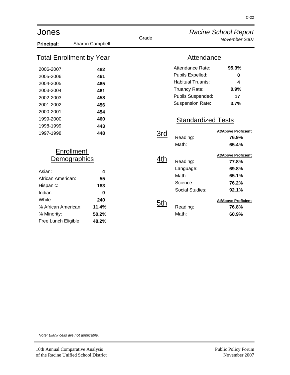| Jones                                                                                                                                                                   |                                                              |                   |                                                                                                                                                                | <b>Racine School Report</b>                                                                                             |
|-------------------------------------------------------------------------------------------------------------------------------------------------------------------------|--------------------------------------------------------------|-------------------|----------------------------------------------------------------------------------------------------------------------------------------------------------------|-------------------------------------------------------------------------------------------------------------------------|
| Principal:                                                                                                                                                              | Sharon Campbell                                              | Grade             |                                                                                                                                                                | November 2007                                                                                                           |
|                                                                                                                                                                         | <b>Total Enrollment by Year</b>                              |                   | <b>Attendance</b>                                                                                                                                              |                                                                                                                         |
| 2006-2007:<br>2005-2006:<br>2004-2005:<br>2003-2004:<br>2002-2003:<br>2001-2002:<br>2000-2001:<br>1999-2000:<br>1998-1999:                                              | 482<br>461<br>465<br>461<br>458<br>456<br>454<br>460<br>443  |                   | Attendance Rate:<br>Pupils Expelled:<br><b>Habitual Truants:</b><br>Truancy Rate:<br>Pupils Suspended:<br><b>Suspension Rate:</b><br><b>Standardized Tests</b> | 95.3%<br>$\mathbf 0$<br>4<br>0.9%<br>17<br>3.7%                                                                         |
| 1997-1998:                                                                                                                                                              | 448                                                          | <u>3rd</u>        | Reading:<br>Math:                                                                                                                                              | <b>At/Above Proficient</b><br>76.9%<br>65.4%                                                                            |
| <b>Enrollment</b><br><b>Demographics</b><br>Asian:<br>African American:<br>Hispanic:<br>Indian:<br>White:<br>% African American:<br>% Minority:<br>Free Lunch Eligible: | 4<br>55<br>183<br>$\bf{0}$<br>240<br>11.4%<br>50.2%<br>48.2% | 4th<br><u>5th</u> | Reading:<br>Language:<br>Math:<br>Science:<br><b>Social Studies:</b><br>Reading:<br>Math:                                                                      | <b>At/Above Proficient</b><br>77.8%<br>69.8%<br>65.1%<br>76.2%<br>92.1%<br><b>At/Above Proficient</b><br>76.8%<br>60.9% |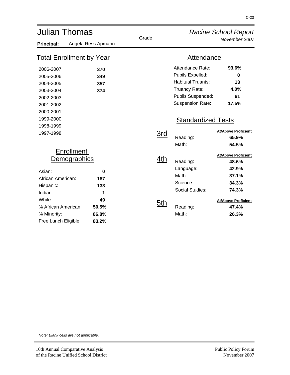| <b>Julian Thomas</b>            |                    | Grade |                   |                           | <b>Racine School Report</b><br>November 2007 |
|---------------------------------|--------------------|-------|-------------------|---------------------------|----------------------------------------------|
| Principal:                      | Angela Ress Apmann |       |                   |                           |                                              |
| <b>Total Enrollment by Year</b> |                    |       | <b>Attendance</b> |                           |                                              |
| 2006-2007:                      | 370                |       |                   | Attendance Rate:          | 93.6%                                        |
| 2005-2006:                      | 349                |       |                   | Pupils Expelled:          | 0                                            |
| 2004-2005:                      | 357                |       |                   | <b>Habitual Truants:</b>  | 13                                           |
| 2003-2004:                      | 374                |       |                   | Truancy Rate:             | 4.0%                                         |
| 2002-2003:                      |                    |       |                   | Pupils Suspended:         | 61                                           |
| 2001-2002:                      |                    |       |                   | <b>Suspension Rate:</b>   | 17.5%                                        |
| 2000-2001:                      |                    |       |                   |                           |                                              |
| 1999-2000:                      |                    |       |                   | <b>Standardized Tests</b> |                                              |
| 1998-1999:                      |                    |       |                   |                           |                                              |
| 1997-1998:                      |                    |       | 3rd               |                           | <b>At/Above Proficient</b>                   |
|                                 |                    |       |                   | Reading:                  | 65.9%                                        |
|                                 |                    |       |                   | Math:                     | 54.5%                                        |
|                                 | <b>Enrollment</b>  |       |                   |                           | <b>At/Above Proficient</b>                   |
|                                 | Demographics       |       | 4th               | Reading:                  | 48.6%                                        |
| Asian:                          |                    |       |                   | Language:                 | 42.9%                                        |
| African American:               | 0<br>187           |       |                   | Math:                     | 37.1%                                        |
|                                 | 133                |       |                   | Science:                  | 34.3%                                        |
| Hispanic:<br>Indian:            | 1                  |       |                   | Social Studies:           | 74.3%                                        |
| White:                          |                    |       |                   |                           |                                              |
| % African American:             | 49                 |       | <u>5th</u>        |                           | <b>At/Above Proficient</b>                   |
|                                 | 50.5%              |       |                   | Reading:                  | 47.4%                                        |
| % Minority:                     | 86.8%              |       |                   | Math:                     | 26.3%                                        |
| Free Lunch Eligible:            | 83.2%              |       |                   |                           |                                              |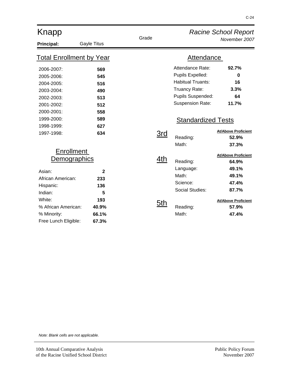| Knapp                                                                                                                                                                   |                                                                   |                   |                                                                                                                                   | <b>Racine School Report</b>                                                                                             |
|-------------------------------------------------------------------------------------------------------------------------------------------------------------------------|-------------------------------------------------------------------|-------------------|-----------------------------------------------------------------------------------------------------------------------------------|-------------------------------------------------------------------------------------------------------------------------|
| Principal:                                                                                                                                                              | Gayle Titus                                                       | Grade             |                                                                                                                                   | November 2007                                                                                                           |
| <b>Total Enrollment by Year</b>                                                                                                                                         |                                                                   |                   | <b>Attendance</b>                                                                                                                 |                                                                                                                         |
| 2006-2007:<br>2005-2006:<br>2004-2005:<br>2003-2004:<br>2002-2003:<br>2001-2002:<br>2000-2001:<br>1999-2000:                                                            | 569<br>545<br>516<br>490<br>513<br>512<br>558<br>589              |                   | Attendance Rate:<br>Pupils Expelled:<br><b>Habitual Truants:</b><br>Truancy Rate:<br>Pupils Suspended:<br><b>Suspension Rate:</b> | 92.7%<br>$\bf{0}$<br>16<br>3.3%<br>64<br>11.7%                                                                          |
| 1998-1999:<br>1997-1998:                                                                                                                                                | 627<br>634                                                        | 3rd               | <b>Standardized Tests</b><br>Reading:<br>Math:                                                                                    | <b>At/Above Proficient</b><br>52.9%<br>37.3%                                                                            |
| <b>Enrollment</b><br><b>Demographics</b><br>Asian:<br>African American:<br>Hispanic:<br>Indian:<br>White:<br>% African American:<br>% Minority:<br>Free Lunch Eligible: | $\mathbf{2}$<br>233<br>136<br>5<br>193<br>40.9%<br>66.1%<br>67.3% | <u>4th</u><br>5th | Reading:<br>Language:<br>Math:<br>Science:<br>Social Studies:<br>Reading:<br>Math:                                                | <b>At/Above Proficient</b><br>64.9%<br>49.1%<br>49.1%<br>47.4%<br>87.7%<br><b>At/Above Proficient</b><br>57.9%<br>47.4% |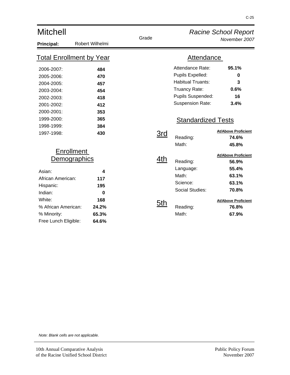| <b>Mitchell</b>                                                                                                                             |                                                               |            |                                                                                                                                                         | <b>Racine School Report</b>                                                                                             |
|---------------------------------------------------------------------------------------------------------------------------------------------|---------------------------------------------------------------|------------|---------------------------------------------------------------------------------------------------------------------------------------------------------|-------------------------------------------------------------------------------------------------------------------------|
| Principal:                                                                                                                                  | Robert Wilhelmi                                               | Grade      |                                                                                                                                                         | November 2007                                                                                                           |
| <b>Total Enrollment by Year</b>                                                                                                             |                                                               |            | <b>Attendance</b>                                                                                                                                       |                                                                                                                         |
| 2006-2007:<br>2005-2006:<br>2004-2005:<br>2003-2004:<br>2002-2003:<br>2001-2002:<br>2000-2001:<br>1999-2000:                                | 484<br>470<br>457<br>454<br>418<br>412<br>353<br>365          |            | Attendance Rate:<br>Pupils Expelled:<br><b>Habitual Truants:</b><br>Truancy Rate:<br>Pupils Suspended:<br>Suspension Rate:<br><b>Standardized Tests</b> | 95.1%<br>0<br>3<br>0.6%<br>16<br>3.4%                                                                                   |
| 1998-1999:<br>1997-1998:<br><b>Enrollment</b>                                                                                               | 384<br>430                                                    | 3rd        | Reading:<br>Math:                                                                                                                                       | <b>At/Above Proficient</b><br>74.6%<br>45.8%                                                                            |
| Demographics<br>Asian:<br>African American:<br>Hispanic:<br>Indian:<br>White:<br>% African American:<br>% Minority:<br>Free Lunch Eligible: | 4<br>117<br>195<br>$\bf{0}$<br>168<br>24.2%<br>65.3%<br>64.6% | 4th<br>5th | Reading:<br>Language:<br>Math:<br>Science:<br><b>Social Studies:</b><br>Reading:<br>Math:                                                               | <b>At/Above Proficient</b><br>56.9%<br>55.4%<br>63.1%<br>63.1%<br>70.8%<br><b>At/Above Proficient</b><br>76.8%<br>67.9% |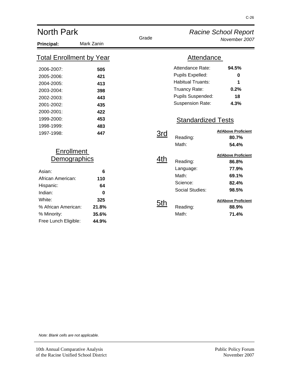| <b>North Park</b>                                                                                                                                                       |                                                              |            |                                                                                                                                                                | <b>Racine School Report</b>                                                                                             |
|-------------------------------------------------------------------------------------------------------------------------------------------------------------------------|--------------------------------------------------------------|------------|----------------------------------------------------------------------------------------------------------------------------------------------------------------|-------------------------------------------------------------------------------------------------------------------------|
| Principal:                                                                                                                                                              | Mark Zanin                                                   | Grade      |                                                                                                                                                                | November 2007                                                                                                           |
| <u>Total Enrollment by Year</u>                                                                                                                                         |                                                              |            | <b>Attendance</b>                                                                                                                                              |                                                                                                                         |
| 2006-2007:<br>2005-2006:<br>2004-2005:<br>2003-2004:<br>2002-2003:<br>2001-2002:<br>2000-2001:<br>1999-2000:                                                            | 505<br>421<br>413<br>398<br>443<br>435<br>422<br>453         |            | Attendance Rate:<br>Pupils Expelled:<br><b>Habitual Truants:</b><br>Truancy Rate:<br>Pupils Suspended:<br><b>Suspension Rate:</b><br><b>Standardized Tests</b> | 94.5%<br>0<br>1<br>0.2%<br>18<br>4.3%                                                                                   |
| 1998-1999:<br>1997-1998:                                                                                                                                                | 483<br>447                                                   | 3rd        | Reading:<br>Math:                                                                                                                                              | <b>At/Above Proficient</b><br>80.7%<br>54.4%                                                                            |
| <b>Enrollment</b><br><b>Demographics</b><br>Asian:<br>African American:<br>Hispanic:<br>Indian:<br>White:<br>% African American:<br>% Minority:<br>Free Lunch Eligible: | 6<br>110<br>64<br>$\bf{0}$<br>325<br>21.8%<br>35.6%<br>44.9% | 4th<br>5th | Reading:<br>Language:<br>Math:<br>Science:<br>Social Studies:<br>Reading:<br>Math:                                                                             | <b>At/Above Proficient</b><br>86.8%<br>77.9%<br>69.1%<br>82.4%<br>98.5%<br><b>At/Above Proficient</b><br>88.9%<br>71.4% |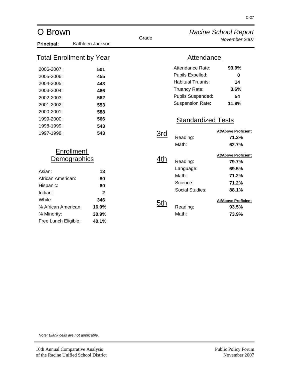| O Brown                                                                                                                                                          |                                                                  |            |                                                                                                                                                                | <b>Racine School Report</b>                                                                                             |
|------------------------------------------------------------------------------------------------------------------------------------------------------------------|------------------------------------------------------------------|------------|----------------------------------------------------------------------------------------------------------------------------------------------------------------|-------------------------------------------------------------------------------------------------------------------------|
| Principal:                                                                                                                                                       | Kathleen Jackson                                                 | Grade      |                                                                                                                                                                | November 2007                                                                                                           |
| <u>Total Enrollment by Year</u>                                                                                                                                  |                                                                  |            | Attendance                                                                                                                                                     |                                                                                                                         |
| 2006-2007:<br>2005-2006:<br>2004-2005:<br>2003-2004:<br>2002-2003:<br>2001-2002:<br>2000-2001:<br>1999-2000:<br>1998-1999:                                       | 501<br>455<br>443<br>466<br>562<br>553<br>588<br>566<br>543      |            | Attendance Rate:<br>Pupils Expelled:<br><b>Habitual Truants:</b><br>Truancy Rate:<br>Pupils Suspended:<br><b>Suspension Rate:</b><br><b>Standardized Tests</b> | 93.9%<br>0<br>14<br>3.6%<br>54<br>11.9%                                                                                 |
| 1997-1998:                                                                                                                                                       | 543                                                              | <u>3rd</u> | Reading:<br>Math:                                                                                                                                              | <b>At/Above Proficient</b><br>71.2%<br>62.7%                                                                            |
| <b>Enrollment</b><br>Demographics<br>Asian:<br>African American:<br>Hispanic:<br>Indian:<br>White:<br>% African American:<br>% Minority:<br>Free Lunch Eligible: | 13<br>80<br>60<br>$\mathbf{2}$<br>346<br>16.0%<br>30.9%<br>40.1% | 4th<br>5th | Reading:<br>Language:<br>Math:<br>Science:<br>Social Studies:<br>Reading:<br>Math:                                                                             | <b>At/Above Proficient</b><br>79.7%<br>69.5%<br>71.2%<br>71.2%<br>88.1%<br><b>At/Above Proficient</b><br>93.5%<br>73.9% |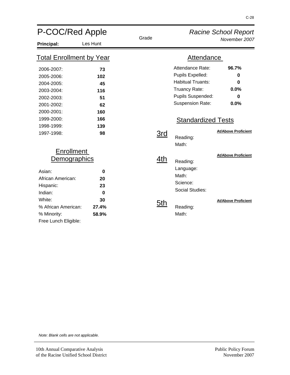| P-COC/Red Apple                                                                                                             |                                                         |                   |                                                                                                                                                                | <b>Racine School Report</b>                                               |
|-----------------------------------------------------------------------------------------------------------------------------|---------------------------------------------------------|-------------------|----------------------------------------------------------------------------------------------------------------------------------------------------------------|---------------------------------------------------------------------------|
| <b>Principal:</b>                                                                                                           | Les Hunt                                                | Grade             |                                                                                                                                                                | November 2007                                                             |
| <b>Total Enrollment by Year</b>                                                                                             |                                                         |                   | Attendance                                                                                                                                                     |                                                                           |
| 2006-2007:<br>2005-2006:<br>2004-2005:<br>2003-2004:<br>2002-2003:<br>2001-2002:<br>2000-2001:<br>1999-2000:<br>1998-1999:  | 73<br>102<br>45<br>116<br>51<br>62<br>160<br>166<br>139 |                   | Attendance Rate:<br>Pupils Expelled:<br><b>Habitual Truants:</b><br>Truancy Rate:<br>Pupils Suspended:<br><b>Suspension Rate:</b><br><b>Standardized Tests</b> | 96.7%<br>0<br>0<br>0.0%<br>$\bf{0}$<br>0.0%<br><b>At/Above Proficient</b> |
| 1997-1998:<br><b>Enrollment</b><br><u>Demographics</u>                                                                      | 98                                                      | <u>3rd</u><br>4th | Reading:<br>Math:                                                                                                                                              | <b>At/Above Proficient</b>                                                |
| Asian:<br>African American:<br>Hispanic:<br>Indian:<br>White:<br>% African American:<br>% Minority:<br>Free Lunch Eligible: | 0<br>20<br>23<br>$\bf{0}$<br>30<br>27.4%<br>58.9%       | <u>5th</u>        | Reading:<br>Language:<br>Math:<br>Science:<br>Social Studies:<br>Reading:<br>Math:                                                                             | <b>At/Above Proficient</b>                                                |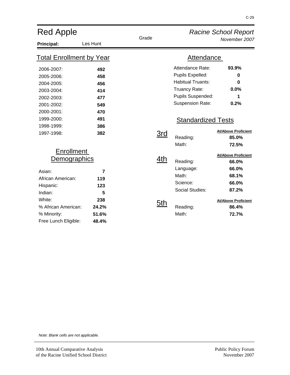| <b>Red Apple</b>                                                     |                                |            |                                                   | <b>Racine School Report</b>                  |
|----------------------------------------------------------------------|--------------------------------|------------|---------------------------------------------------|----------------------------------------------|
| <b>Principal:</b>                                                    | Les Hunt                       | Grade      |                                                   | November 2007                                |
| <b>Total Enrollment by Year</b>                                      |                                |            | Attendance                                        |                                              |
| 2006-2007:<br>2005-2006:                                             | 492<br>458                     |            | Attendance Rate:<br>Pupils Expelled:              | 93.9%<br>0                                   |
| 2004-2005:<br>2003-2004:                                             | 456<br>414                     |            | <b>Habitual Truants:</b><br>Truancy Rate:         | 0<br>0.0%                                    |
| 2002-2003:<br>2001-2002:<br>2000-2001:                               | 477<br>549<br>470              |            | Pupils Suspended:<br><b>Suspension Rate:</b>      | 1<br>0.2%                                    |
| 1999-2000:<br>1998-1999:                                             | 491<br>386                     |            | <b>Standardized Tests</b>                         |                                              |
| 1997-1998:                                                           | 382                            | <u>3rd</u> | Reading:<br>Math:                                 | <b>At/Above Proficient</b><br>85.0%<br>72.5% |
| <b>Enrollment</b><br><u>emographics</u>                              |                                | 4th        | Reading:                                          | <b>At/Above Proficient</b><br>66.0%          |
| Asian:<br>African American:<br>Hispanic:<br>Indian:                  | 7<br>119<br>123<br>5           |            | Language:<br>Math:<br>Science:<br>Social Studies: | 66.0%<br>68.1%<br>66.0%<br>87.2%             |
| White:<br>% African American:<br>% Minority:<br>Free Lunch Eligible: | 238<br>24.2%<br>51.6%<br>48.4% | <u>5th</u> | Reading:<br>Math:                                 | <b>At/Above Proficient</b><br>86.4%<br>72.7% |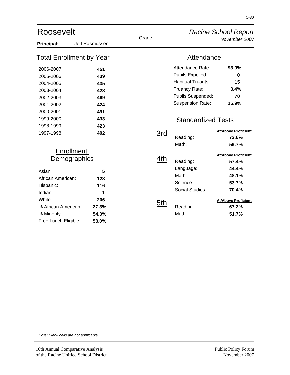| Roosevelt                                                                                                                                                               |                                                        | Grade                   | <b>Racine School Report</b>                                                                                                                                    |                                                                                                                         |
|-------------------------------------------------------------------------------------------------------------------------------------------------------------------------|--------------------------------------------------------|-------------------------|----------------------------------------------------------------------------------------------------------------------------------------------------------------|-------------------------------------------------------------------------------------------------------------------------|
| Principal:                                                                                                                                                              | Jeff Rasmussen                                         |                         |                                                                                                                                                                | November 2007                                                                                                           |
| <u>Total Enrollment by Year</u>                                                                                                                                         |                                                        |                         | Attendance                                                                                                                                                     |                                                                                                                         |
| 2006-2007:<br>2005-2006:<br>2004-2005:<br>2003-2004:<br>2002-2003:<br>2001-2002:<br>2000-2001:<br>1999-2000:                                                            | 451<br>439<br>435<br>428<br>469<br>424<br>491<br>433   |                         | Attendance Rate:<br>Pupils Expelled:<br><b>Habitual Truants:</b><br>Truancy Rate:<br>Pupils Suspended:<br><b>Suspension Rate:</b><br><b>Standardized Tests</b> | 93.9%<br>$\bf{0}$<br>15<br>3.4%<br>70<br>15.9%                                                                          |
| 1998-1999:<br>1997-1998:                                                                                                                                                | 423<br>402                                             | $\overline{\text{3rd}}$ | Reading:<br>Math:                                                                                                                                              | <b>At/Above Proficient</b><br>72.6%<br>59.7%                                                                            |
| <b>Enrollment</b><br><b>Demographics</b><br>Asian:<br>African American:<br>Hispanic:<br>Indian:<br>White:<br>% African American:<br>% Minority:<br>Free Lunch Eligible: | 5<br>123<br>116<br>1<br>206<br>27.3%<br>54.3%<br>58.0% | 4th<br>5th              | Reading:<br>Language:<br>Math:<br>Science:<br>Social Studies:<br>Reading:<br>Math:                                                                             | <b>At/Above Proficient</b><br>57.4%<br>44.4%<br>48.1%<br>53.7%<br>70.4%<br><b>At/Above Proficient</b><br>67.2%<br>51.7% |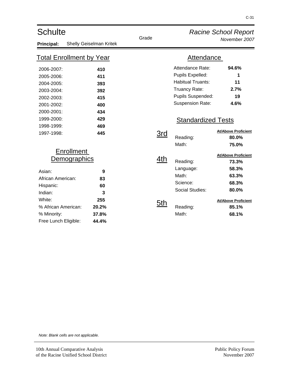| <b>Schulte</b>                  |                         | Grade      |                           | <b>Racine School Report</b> |
|---------------------------------|-------------------------|------------|---------------------------|-----------------------------|
| Principal:                      | Shelly Geiselman Kritek |            |                           | November 2007               |
| <u>Total Enrollment by Year</u> |                         |            | Attendance                |                             |
| 2006-2007:                      | 410                     |            | Attendance Rate:          | 94.6%                       |
| 2005-2006:                      | 411                     |            | Pupils Expelled:          | 1                           |
| 2004-2005:                      | 393                     |            | <b>Habitual Truants:</b>  | 11                          |
| 2003-2004:                      | 392                     |            | Truancy Rate:             | 2.7%                        |
| 2002-2003:                      | 415                     |            | Pupils Suspended:         | 19                          |
| 2001-2002:                      | 400                     |            | Suspension Rate:          | 4.6%                        |
| 2000-2001:                      | 434                     |            |                           |                             |
| 1999-2000:                      | 429                     |            | <b>Standardized Tests</b> |                             |
| 1998-1999:                      | 469                     |            |                           |                             |
| 1997-1998:                      | 445                     | <u>3rd</u> |                           | <b>At/Above Proficient</b>  |
|                                 |                         |            | Reading:                  | 80.0%                       |
|                                 |                         |            | Math:                     | 75.0%                       |
| <b>Enrollment</b>               |                         |            |                           | <b>At/Above Proficient</b>  |
|                                 | <b>Demographics</b>     | 4th        | Reading:                  | 73.3%                       |
| Asian:                          | 9                       |            | Language:                 | 58.3%                       |
| African American:               | 83                      |            | Math:                     | 63.3%                       |
| Hispanic:                       | 60                      |            | Science:                  | 68.3%                       |
| Indian:                         | 3                       |            | <b>Social Studies:</b>    | 80.0%                       |
| White:                          | 255                     |            |                           | <b>At/Above Proficient</b>  |
| % African American:             | 20.2%                   | 5th        | Reading:                  | 85.1%                       |
| % Minority:                     | 37.8%                   |            | Math:                     | 68.1%                       |
| Free Lunch Eligible:            | 44.4%                   |            |                           |                             |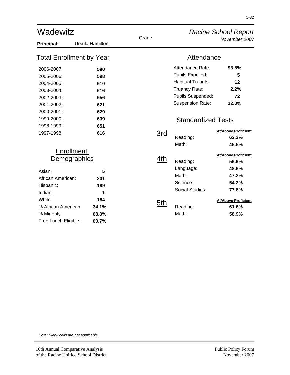| Wadewitz                        |                 |            | <b>Racine School Report</b> |                            |
|---------------------------------|-----------------|------------|-----------------------------|----------------------------|
| Principal:                      | Ursula Hamilton | Grade      |                             | November 2007              |
| <u>Total Enrollment by Year</u> |                 |            | <b>Attendance</b>           |                            |
| 2006-2007:                      | 590             |            | Attendance Rate:            | 93.5%                      |
| 2005-2006:                      | 598             |            | Pupils Expelled:            | 5                          |
| 2004-2005:                      | 610             |            | <b>Habitual Truants:</b>    | 12                         |
| 2003-2004:                      | 616             |            | Truancy Rate:               | 2.2%                       |
| 2002-2003:                      | 656             |            | Pupils Suspended:           | 72                         |
| 2001-2002:                      | 621             |            | <b>Suspension Rate:</b>     | 12.0%                      |
| 2000-2001:                      | 629             |            |                             |                            |
| 1999-2000:                      | 639             |            | <b>Standardized Tests</b>   |                            |
| 1998-1999:                      | 651             |            |                             |                            |
| 1997-1998:                      | 616             | <u>3rd</u> |                             | <b>At/Above Proficient</b> |
|                                 |                 |            | Reading:                    | 62.3%                      |
|                                 |                 |            | Math:                       | 45.5%                      |
| <b>Enrollment</b>               |                 |            |                             | <b>At/Above Proficient</b> |
| Demographics                    |                 | 4th        | Reading:                    | 56.9%                      |
| Asian:                          | 5               |            | Language:                   | 48.6%                      |
| African American:               | 201             |            | Math:                       | 47.2%                      |
| Hispanic:                       | 199             |            | Science:                    | 54.2%                      |
| Indian:                         | 1               |            | Social Studies:             | 77.8%                      |
| White:                          | 184             |            |                             | <b>At/Above Proficient</b> |
| % African American:             | 34.1%           | 5th        | Reading:                    | 61.6%                      |
| % Minority:                     | 68.8%           |            | Math:                       | 58.9%                      |
| Free Lunch Eligible:            | 60.7%           |            |                             |                            |
|                                 |                 |            |                             |                            |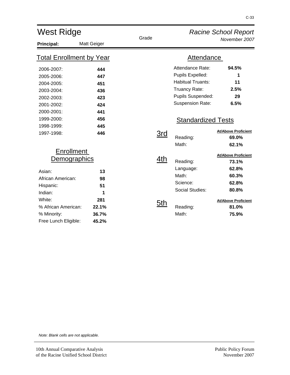| <b>West Ridge</b>                                                                                                                                                       |                                                             |                   |                                                                                                                                                                | <b>Racine School Report</b>                                                                                             |  |
|-------------------------------------------------------------------------------------------------------------------------------------------------------------------------|-------------------------------------------------------------|-------------------|----------------------------------------------------------------------------------------------------------------------------------------------------------------|-------------------------------------------------------------------------------------------------------------------------|--|
| Principal:                                                                                                                                                              | <b>Matt Geiger</b>                                          | Grade             |                                                                                                                                                                | November 2007                                                                                                           |  |
| <b>Total Enrollment by Year</b>                                                                                                                                         |                                                             |                   | <b>Attendance</b>                                                                                                                                              |                                                                                                                         |  |
| 2006-2007:<br>2005-2006:<br>2004-2005:<br>2003-2004:<br>2002-2003:<br>2001-2002:<br>2000-2001:<br>1999-2000:<br>1998-1999:                                              | 444<br>447<br>451<br>436<br>423<br>424<br>441<br>456<br>445 |                   | Attendance Rate:<br>Pupils Expelled:<br><b>Habitual Truants:</b><br>Truancy Rate:<br>Pupils Suspended:<br><b>Suspension Rate:</b><br><b>Standardized Tests</b> | 94.5%<br>1<br>11<br>2.5%<br>29<br>6.5%<br><b>At/Above Proficient</b>                                                    |  |
| 1997-1998:                                                                                                                                                              | 446                                                         | 3rd               | Reading:<br>Math:                                                                                                                                              | 69.0%<br>62.1%                                                                                                          |  |
| <b>Enrollment</b><br><u>Demographics</u><br>Asian:<br>African American:<br>Hispanic:<br>Indian:<br>White:<br>% African American:<br>% Minority:<br>Free Lunch Eligible: | 13<br>98<br>51<br>1<br>281<br>22.1%<br>36.7%<br>45.2%       | 4th<br><u>5th</u> | Reading:<br>Language:<br>Math:<br>Science:<br>Social Studies:<br>Reading:<br>Math:                                                                             | <b>At/Above Proficient</b><br>73.1%<br>62.8%<br>60.3%<br>62.8%<br>80.8%<br><b>At/Above Proficient</b><br>81.0%<br>75.9% |  |